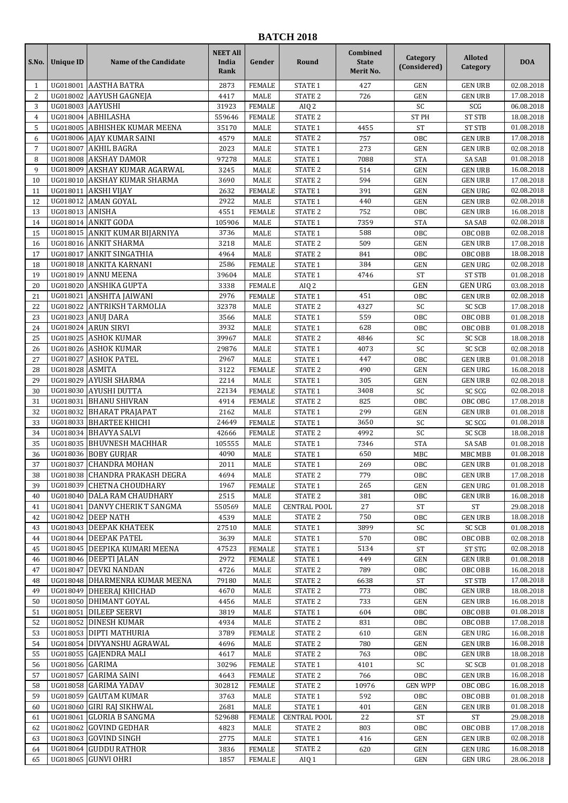## **BATCH 2018**

| S.No.          | <b>Unique ID</b>     | <b>Name of the Candidate</b>                       | <b>NEET All</b><br>India<br>Rank | Gender                | Round                            | Combined<br><b>State</b><br>Merit No. | Category<br>(Considered) | <b>Alloted</b><br>Category       | <b>DOA</b>               |
|----------------|----------------------|----------------------------------------------------|----------------------------------|-----------------------|----------------------------------|---------------------------------------|--------------------------|----------------------------------|--------------------------|
| 1              |                      | UG018001 AASTHA BATRA                              | 2873                             | <b>FEMALE</b>         | STATE 1                          | 427                                   | <b>GEN</b>               | <b>GEN URB</b>                   | 02.08.2018               |
| 2              |                      | UG018002 AAYUSH GAGNEJA                            | 4417                             | <b>MALE</b>           | <b>STATE 2</b>                   | 726                                   | <b>GEN</b>               | <b>GEN URB</b>                   | 17.08.2018               |
| 3              | UG018003 AAYUSHI     |                                                    | 31923                            | <b>FEMALE</b>         | AIQ <sub>2</sub>                 |                                       | SC                       | SCG                              | 06.08.2018               |
| $\overline{4}$ |                      | UG018004 ABHILASHA                                 | 559646                           | <b>FEMALE</b>         | <b>STATE 2</b>                   |                                       | <b>ST PH</b>             | <b>ST STB</b>                    | 18.08.2018               |
| 5              |                      | UG018005 ABHISHEK KUMAR MEENA                      | 35170                            | MALE                  | <b>STATE 1</b>                   | 4455                                  | <b>ST</b>                | <b>ST STB</b>                    | 01.08.2018               |
| 6              |                      | UG018006 AJAY KUMAR SAINI                          | 4579                             | MALE                  | STATE <sub>2</sub>               | 757                                   | OBC                      | <b>GEN URB</b>                   | 17.08.2018               |
| $\overline{7}$ | UG018007             | AKHIL BAGRA                                        | 2023                             | MALE                  | <b>STATE 1</b>                   | 273                                   | <b>GEN</b>               | <b>GEN URB</b>                   | 02.08.2018               |
| 8              |                      | UG018008 AKSHAY DAMOR                              | 97278                            | MALE                  | STATE 1                          | 7088                                  | <b>STA</b>               | <b>SA SAB</b>                    | 01.08.2018               |
| 9              | UG018009<br>UG018010 | AKSHAY KUMAR AGARWAL                               | 3245                             | MALE                  | <b>STATE 2</b><br><b>STATE 2</b> | 514                                   | <b>GEN</b>               | <b>GEN URB</b>                   | 16.08.2018               |
| 10<br>11       | UG018011             | AKSHAY KUMAR SHARMA<br>AKSHI VIJAY                 | 3690<br>2632                     | MALE<br><b>FEMALE</b> | STATE 1                          | 594<br>391                            | <b>GEN</b><br><b>GEN</b> | <b>GEN URB</b><br><b>GEN URG</b> | 17.08.2018<br>02.08.2018 |
| 12             |                      | UG018012 AMAN GOYAL                                | 2922                             | MALE                  | <b>STATE 1</b>                   | 440                                   | <b>GEN</b>               | <b>GEN URB</b>                   | 02.08.2018               |
| 13             | UG018013 ANISHA      |                                                    | 4551                             | <b>FEMALE</b>         | <b>STATE 2</b>                   | 752                                   | OBC                      | <b>GEN URB</b>                   | 16.08.2018               |
| 14             |                      | UG018014 ANKIT GODA                                | 105906                           | MALE                  | STATE 1                          | 7359                                  | <b>STA</b>               | <b>SA SAB</b>                    | 02.08.2018               |
| 15             |                      | UG018015 ANKIT KUMAR BIJARNIYA                     | 3736                             | <b>MALE</b>           | <b>STATE 1</b>                   | 588                                   | OBC                      | OBC OBB                          | 02.08.2018               |
| 16             |                      | UG018016 ANKIT SHARMA                              | 3218                             | MALE                  | STATE <sub>2</sub>               | 509                                   | <b>GEN</b>               | <b>GEN URB</b>                   | 17.08.2018               |
| 17             | UG018017             | <b>ANKIT SINGATHIA</b>                             | 4964                             | <b>MALE</b>           | STATE <sub>2</sub>               | 841                                   | OBC                      | OBC OBB                          | 18.08.2018               |
| 18             |                      | UG018018 ANKITA KARNANI                            | 2586                             | <b>FEMALE</b>         | STATE 1                          | 384                                   | <b>GEN</b>               | <b>GEN URG</b>                   | 02.08.2018               |
| 19             | UG018019             | ANNU MEENA                                         | 39604                            | MALE                  | <b>STATE 1</b>                   | 4746                                  | <b>ST</b>                | <b>ST STB</b>                    | 01.08.2018               |
| 20             | UG018020             | <b>ANSHIKA GUPTA</b>                               | 3338                             | <b>FEMALE</b>         | AIQ <sub>2</sub>                 |                                       | GEN                      | <b>GEN URG</b>                   | 03.08.2018               |
| 21             |                      | UG018021 ANSHITA JAIWANI                           | 2976                             | <b>FEMALE</b>         | <b>STATE 1</b>                   | 451                                   | OBC                      | <b>GEN URB</b>                   | 02.08.2018               |
| 22             |                      | UG018022 ANTRIKSH TARMOLIA                         | 32378                            | MALE                  | STATE <sub>2</sub>               | 4327                                  | SC                       | <b>SC SCB</b>                    | 17.08.2018               |
| 23             |                      | UG018023 ANUJ DARA                                 | 3566                             | MALE                  | STATE 1                          | 559                                   | OBC                      | OBC OBB                          | 01.08.2018               |
| 24             |                      | UG018024 ARUN SIRVI                                | 3932                             | <b>MALE</b>           | <b>STATE 1</b>                   | 628                                   | OBC                      | OBC OBB                          | 01.08.2018               |
| 25             |                      | UG018025 ASHOK KUMAR                               | 39967                            | MALE                  | STATE <sub>2</sub>               | 4846                                  | SC                       | <b>SC SCB</b>                    | 18.08.2018               |
| 26             |                      | UG018026 ASHOK KUMAR<br>UG018027 ASHOK PATEL       | 29876                            | MALE<br><b>MALE</b>   | <b>STATE 1</b><br><b>STATE 1</b> | 4073<br>447                           | SC<br>OBC                | <b>SC SCB</b><br><b>GEN URB</b>  | 02.08.2018<br>01.08.2018 |
| 27<br>28       | UG018028 ASMITA      |                                                    | 2967<br>3122                     | <b>FEMALE</b>         | STATE <sub>2</sub>               | 490                                   | <b>GEN</b>               | <b>GEN URG</b>                   | 16.08.2018               |
| 29             | UG018029             | <b>AYUSH SHARMA</b>                                | 2214                             | <b>MALE</b>           | STATE 1                          | 305                                   | <b>GEN</b>               | <b>GEN URB</b>                   | 02.08.2018               |
| 30             |                      | UG018030 AYUSHI DUTTA                              | 22134                            | <b>FEMALE</b>         | STATE 1                          | 3408                                  | SC                       | SC SCG                           | 02.08.2018               |
| 31             | UG018031             | <b>BHANU SHIVRAN</b>                               | 4914                             | <b>FEMALE</b>         | <b>STATE 2</b>                   | 825                                   | OBC                      | OBC OBG                          | 17.08.2018               |
| 32             |                      | UG018032 BHARAT PRAJAPAT                           | 2162                             | MALE                  | <b>STATE 1</b>                   | 299                                   | <b>GEN</b>               | <b>GEN URB</b>                   | 01.08.2018               |
| 33             |                      | UG018033 BHARTEE KHICHI                            | 24649                            | <b>FEMALE</b>         | STATE 1                          | 3650                                  | SC                       | SC SCG                           | 01.08.2018               |
| 34             |                      | UG018034 BHAVYA SALVI                              | 42666                            | <b>FEMALE</b>         | STATE <sub>2</sub>               | 4992                                  | SC                       | <b>SC SCB</b>                    | 18.08.2018               |
| 35             | UG018035             | <b>BHUVNESH MACHHAR</b>                            | 105555                           | MALE                  | <b>STATE 1</b>                   | 7346                                  | <b>STA</b>               | <b>SA SAB</b>                    | 01.08.2018               |
| 36             |                      | UG018036 BOBY GURJAR                               | 4090                             | MALE                  | STATE 1                          | 650                                   | <b>MBC</b>               | MBC MBB                          | 01.08.2018               |
| 37             | UG018037             | <b>CHANDRA MOHAN</b>                               | 2011                             | MALE                  | <b>STATE 1</b>                   | 269                                   | OBC                      | <b>GEN URB</b>                   | 01.08.2018               |
| 38             |                      | UG018038 CHANDRA PRAKASH DEGRA                     | 4694                             | <b>MALE</b>           | STATE 2                          | 779                                   | OBC                      | <b>GEN URB</b>                   | 17.08.2018               |
| 39             |                      | UG018039 CHETNA CHOUDHARY                          | 1967                             | <b>FEMALE</b>         | <b>STATE 1</b>                   | 265                                   | GEN                      | <b>GEN URG</b>                   | 01.08.2018               |
| 40             |                      | UG018040 DALA RAM CHAUDHARY                        | 2515                             | MALE                  | <b>STATE 2</b>                   | 381                                   | OBC                      | <b>GEN URB</b>                   | 16.08.2018               |
| 41             |                      | UG018041 DANVY CHERIK T SANGMA                     | 550569                           | MALE                  | <b>CENTRAL POOL</b>              | 27                                    | ST                       | ST                               | 29.08.2018               |
| 42             |                      | UG018042 DEEP NATH                                 | 4539                             | MALE                  | <b>STATE 2</b>                   | 750                                   | OBC                      | <b>GEN URB</b>                   | 18.08.2018               |
| 43<br>44       |                      | UG018043 DEEPAK KHATEEK<br>UG018044 DEEPAK PATEL   | 27510<br>3639                    | MALE<br>MALE          | <b>STATE 1</b><br>STATE 1        | 3899<br>570                           | SC<br>OBC                | <b>SC SCB</b><br>OBC OBB         | 01.08.2018<br>02.08.2018 |
| 45             |                      | UG018045   DEEPIKA KUMARI MEENA                    | 47523                            | <b>FEMALE</b>         | STATE 1                          | 5134                                  | ST                       | <b>ST STG</b>                    | 02.08.2018               |
| 46             |                      | UG018046 DEEPTI JALAN                              | 2972                             | FEMALE                | STATE 1                          | 449                                   | <b>GEN</b>               | <b>GEN URB</b>                   | 01.08.2018               |
| 47             |                      | UG018047 DEVKI NANDAN                              | 4726                             | MALE                  | STATE <sub>2</sub>               | 789                                   | OBC                      | OBC OBB                          | 16.08.2018               |
| 48             |                      | UG018048 DHARMENRA KUMAR MEENA                     | 79180                            | MALE                  | STATE <sub>2</sub>               | 6638                                  | <b>ST</b>                | <b>ST STB</b>                    | 17.08.2018               |
| 49             |                      | UG018049 DHEERAJ KHICHAD                           | 4670                             | MALE                  | STATE <sub>2</sub>               | 773                                   | OBC                      | <b>GEN URB</b>                   | 18.08.2018               |
| 50             |                      | UG018050 DHIMANT GOYAL                             | 4456                             | MALE                  | STATE <sub>2</sub>               | 733                                   | <b>GEN</b>               | <b>GEN URB</b>                   | 16.08.2018               |
| 51             |                      | UG018051 DILEEP SEERVI                             | 3819                             | MALE                  | <b>STATE 1</b>                   | 604                                   | OBC                      | OBC OBB                          | 01.08.2018               |
| 52             |                      | UG018052 DINESH KUMAR                              | 4934                             | MALE                  | STATE <sub>2</sub>               | 831                                   | OBC                      | OBC OBB                          | 17.08.2018               |
| 53             |                      | UG018053 DIPTI MATHURIA                            | 3789                             | <b>FEMALE</b>         | STATE <sub>2</sub>               | 610                                   | GEN                      | <b>GEN URG</b>                   | 16.08.2018               |
| 54             |                      | UG018054 DIVYANSHU AGRAWAL                         | 4696                             | MALE                  | STATE <sub>2</sub>               | 780                                   | <b>GEN</b>               | <b>GEN URB</b>                   | 16.08.2018               |
| 55             |                      | UG018055 GAJENDRA MALI                             | 4617                             | MALE                  | STATE <sub>2</sub>               | 763                                   | OBC                      | <b>GEN URB</b>                   | 18.08.2018               |
| 56             | UG018056 GARIMA      |                                                    | 30296                            | FEMALE                | <b>STATE 1</b>                   | 4101                                  | SC                       | <b>SC SCB</b>                    | 01.08.2018               |
| 57             |                      | UG018057 GARIMA SAINI                              | 4643                             | FEMALE                | STATE <sub>2</sub>               | 766                                   | OBC                      | <b>GEN URB</b>                   | 16.08.2018               |
| 58             |                      | UG018058 GARIMA YADAV                              | 302812                           | <b>FEMALE</b>         | STATE <sub>2</sub>               | 10976                                 | <b>GEN WPP</b>           | OBC OBG                          | 16.08.2018               |
| 59<br>60       |                      | UG018059 GAUTAM KUMAR<br>UG018060 GIRI RAJ SIKHWAL | 3763<br>2681                     | MALE<br>MALE          | STATE 1<br><b>STATE 1</b>        | 592<br>401                            | OBC<br><b>GEN</b>        | OBC OBB<br><b>GEN URB</b>        | 01.08.2018<br>01.08.2018 |
| 61             |                      | UG018061 GLORIA B SANGMA                           | 529688                           | <b>FEMALE</b>         | <b>CENTRAL POOL</b>              | 22                                    | <b>ST</b>                | <b>ST</b>                        | 29.08.2018               |
| 62             |                      | UG018062 GOVIND GEDHAR                             | 4823                             | MALE                  | STATE <sub>2</sub>               | 803                                   | OBC                      | OBC OBB                          | 17.08.2018               |
| 63             |                      | UG018063 GOVIND SINGH                              | 2775                             | MALE                  | <b>STATE 1</b>                   | 416                                   | <b>GEN</b>               | <b>GEN URB</b>                   | 02.08.2018               |
| 64             |                      | UG018064 GUDDU RATHOR                              | 3836                             | FEMALE                | STATE <sub>2</sub>               | 620                                   | <b>GEN</b>               | <b>GEN URG</b>                   | 16.08.2018               |
| 65             |                      | UG018065 GUNVI OHRI                                | 1857                             | FEMALE                | AIQ 1                            |                                       | GEN                      | <b>GEN URG</b>                   | 28.06.2018               |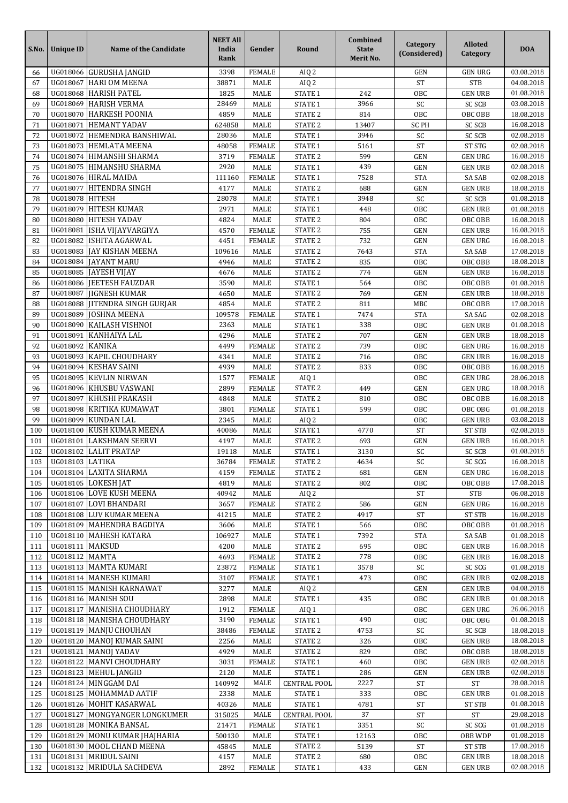| UG018066 GURUSHA JANGID<br>3398<br><b>FEMALE</b><br><b>GEN URG</b><br>03.08.2018<br>AIQ <sub>2</sub><br><b>GEN</b><br>66<br><b>ST</b><br><b>STB</b><br>04.08.2018<br>67<br>UG018067<br><b>HARI OM MEENA</b><br>38871<br><b>MALE</b><br>AIQ <sub>2</sub><br>UG018068<br>242<br><b>HARISH PATEL</b><br>1825<br><b>STATE 1</b><br>68<br>MALE<br>OBC<br><b>GEN URB</b><br>01.08.2018<br>69<br>UG018069<br><b>HARISH VERMA</b><br>28469<br><b>STATE 1</b><br>3966<br>SC<br><b>SC SCB</b><br>03.08.2018<br>MALE<br>STATE <sub>2</sub><br>UG018070<br>OBC<br><b>HARKESH POONIA</b><br>4859<br><b>MALE</b><br>814<br>OBC OBB<br>18.08.2018<br>70<br><b>HEMANT YADAV</b><br>STATE <sub>2</sub><br><b>SC SCB</b><br>UG018071<br>624858<br><b>MALE</b><br>13407<br><b>SC PH</b><br>16.08.2018<br>71<br>72<br>UG018072<br>HEMENDRA BANSHIWAL<br>28036<br><b>STATE 1</b><br>3946<br><b>SC SCB</b><br>02.08.2018<br>MALE<br>SC<br>UG018073<br><b>HEMLATA MEENA</b><br>STATE 1<br><b>ST</b><br><b>ST STG</b><br>02.08.2018<br>73<br><b>FEMALE</b><br>5161<br>48058<br>74<br>UG018074 HIMANSHI SHARMA<br>3719<br>STATE <sub>2</sub><br>599<br><b>GEN URG</b><br><b>FEMALE</b><br>GEN<br>16.08.2018<br>UG018075<br>2920<br>75<br><b>HIMANSHU SHARMA</b><br>439<br><b>GEN</b><br>02.08.2018<br>MALE<br><b>STATE 1</b><br><b>GEN URB</b><br>7528<br>76<br>UG018076<br><b>HIRAL MAIDA</b><br><b>FEMALE</b><br>STATE 1<br><b>STA</b><br>SA SAB<br>111160<br>02.08.2018<br>STATE <sub>2</sub><br>UG018077<br>77<br><b>HITENDRA SINGH</b><br>4177<br><b>MALE</b><br>688<br><b>GEN</b><br><b>GEN URB</b><br>18.08.2018<br>SC<br>78<br>UG018078<br><b>HITESH</b><br>28078<br>STATE 1<br>3948<br><b>SC SCB</b><br>MALE<br>01.08.2018<br>UG018079<br><b>HITESH KUMAR</b><br>2971<br>STATE 1<br>448<br>01.08.2018<br>79<br><b>MALE</b><br>OBC<br><b>GEN URB</b><br>UG018080<br><b>HITESH YADAV</b><br>STATE <sub>2</sub><br>OBC<br>OBC OBB<br>16.08.2018<br>80<br>4824<br>MALE<br>804<br>UG018081<br>STATE <sub>2</sub><br>ISHA VIJAYVARGIYA<br>755<br>81<br>4570<br><b>FEMALE</b><br><b>GEN</b><br><b>GEN URB</b><br>16.08.2018<br>STATE <sub>2</sub><br>732<br>82<br>UG018082<br>ISHITA AGARWAL<br>4451<br><b>FEMALE</b><br><b>GEN</b><br><b>GEN URG</b><br>16.08.2018<br>UG018083<br><b>JAY KISHAN MEENA</b><br>109616<br><b>MALE</b><br>STATE <sub>2</sub><br>7643<br><b>STA</b><br><b>SA SAB</b><br>83<br>17.08.2018<br>18.08.2018<br>UG018084<br><b>JAYANT MARU</b><br>STATE <sub>2</sub><br>835<br>OBC<br>OBC OBB<br>84<br>4946<br>MALE<br>774<br>85<br>UG018085<br><b>JAYESH VIJAY</b><br>4676<br><b>MALE</b><br><b>STATE 2</b><br><b>GEN</b><br><b>GEN URB</b><br>16.08.2018<br>STATE 1<br>UG018086<br><b>JEETESH FAUZDAR</b><br>3590<br><b>MALE</b><br>564<br>OBC<br>OBC OBB<br>01.08.2018<br>86<br>87<br>UG018087<br><b>JIGNESH KUMAR</b><br>4650<br>769<br>MALE<br><b>STATE 2</b><br>GEN<br><b>GEN URB</b><br>18.08.2018<br>UG018088<br>STATE <sub>2</sub><br>88<br>JITENDRA SINGH GURJAR<br>4854<br><b>MALE</b><br>811<br>MBC<br>17.08.2018<br>OBC OBB<br>STATE 1<br><b>STA</b><br>SA SAG<br>89<br>UG018089<br><b>JOSHNA MEENA</b><br>109578<br><b>FEMALE</b><br>7474<br>02.08.2018<br>UG018090<br>338<br><b>KAILASH VISHNOI</b><br>2363<br><b>STATE 1</b><br>OBC<br>01.08.2018<br>90<br>MALE<br><b>GEN URB</b><br>91<br>UG018091<br>KANHAIYA LAL<br>4296<br>STATE <sub>2</sub><br>707<br><b>GEN</b><br><b>GEN URB</b><br>18.08.2018<br>MALE<br>STATE <sub>2</sub><br>UG018092<br><b>KANIKA</b><br>92<br>4499<br><b>FEMALE</b><br>739<br>OBC<br><b>GEN URG</b><br>16.08.2018<br><b>KAPIL CHOUDHARY</b><br>93<br>UG018093<br>STATE <sub>2</sub><br>716<br>OBC<br><b>GEN URB</b><br>16.08.2018<br>4341<br>MALE<br>94<br>UG018094<br><b>KESHAV SAINI</b><br>4939<br>OBC<br>MALE<br>STATE <sub>2</sub><br>833<br>OBC OBB<br>16.08.2018<br><b>KEVLIN NIRWAN</b><br>95<br>UG018095<br>1577<br><b>FEMALE</b><br>AIQ 1<br>OBC<br><b>GEN URG</b><br>28.06.2018<br><b>KHUSBU VASWANI</b><br>STATE <sub>2</sub><br>UG018096<br>2899<br><b>FEMALE</b><br>449<br><b>GEN</b><br><b>GEN URG</b><br>96<br>18.08.2018<br>KHUSHI PRAKASH<br><b>STATE 2</b><br>97<br>UG018097<br>810<br>OBC<br>OBC OBB<br>16.08.2018<br>4848<br>MALE<br><b>KRITIKA KUMAWAT</b><br>98<br>UG018098<br><b>FEMALE</b><br>STATE 1<br>OBC<br>OBC OBG<br>01.08.2018<br>3801<br>599<br>UG018099<br>99<br><b>KUNDAN LAL</b><br>2345<br><b>MALE</b><br>AIQ <sub>2</sub><br>OBC<br><b>GEN URB</b><br>03.08.2018<br><b>ST</b><br>100<br><b>KUSH KUMAR MEENA</b><br>STATE 1<br>4770<br><b>ST STB</b><br>UG018100<br>40086<br>MALE<br>02.08.2018<br><b>STATE 2</b><br>UG018101<br>LAKSHMAN SEERVI<br>693<br>16.08.2018<br>101<br>4197<br>MALE<br>GEN<br><b>GEN URB</b><br>UG018102<br><b>LALIT PRATAP</b><br>3130<br>SC<br><b>SC SCB</b><br>01.08.2018<br>102<br>19118<br>MALE<br><b>STATE 1</b><br>UG018103 LATIKA<br>STATE <sub>2</sub><br>16.08.2018<br>36784<br><b>FEMALE</b><br>SC SCG<br>103<br>4634<br>SC<br>UG018104 LAXITA SHARMA<br>STATE <sub>2</sub><br><b>GEN URG</b><br>16.08.2018<br>104<br>4159<br><b>FEMALE</b><br>681<br><b>GEN</b><br>UG018105 LOKESH JAT<br>105<br>4819<br>MALE<br>STATE 2<br>802<br>OBC<br>OBC OBB<br>17.08.2018<br>UG018106 LOVE KUSH MEENA<br><b>ST</b><br><b>STB</b><br>06.08.2018<br>106<br>40942<br>MALE<br>AIQ 2<br>UG018107 LOVI BHANDARI<br>107<br>3657<br><b>FEMALE</b><br>STATE <sub>2</sub><br>586<br><b>GEN</b><br><b>GEN URG</b><br>16.08.2018<br>UG018108 LUV KUMAR MEENA<br>STATE <sub>2</sub><br><b>ST STB</b><br>41215<br>MALE<br>4917<br>ST<br>16.08.2018<br>108<br>UG018109 MAHENDRA BAGDIYA<br>109<br>3606<br>MALE<br>STATE 1<br>566<br>OBC<br>OBC OBB<br>01.08.2018<br>UG018110 MAHESH KATARA<br>106927<br>7392<br>01.08.2018<br>110<br>MALE<br>STATE 1<br><b>STA</b><br>SA SAB<br>UG018111   MAKSUD<br>STATE <sub>2</sub><br>695<br>OBC<br><b>GEN URB</b><br>4200<br>MALE<br>16.08.2018<br>111<br>UG018112 MAMTA<br>778<br>112<br>4693<br><b>FEMALE</b><br>STATE 2<br><b>GEN URB</b><br>16.08.2018<br>OBC<br>UG018113 MAMTA KUMARI<br>SC SCG<br>113<br>23872<br><b>FEMALE</b><br>STATE 1<br>3578<br>SC<br>01.08.2018<br>UG018114   MANESH KUMARI<br>3107<br>473<br>02.08.2018<br><b>FEMALE</b><br><b>STATE 1</b><br>OBC<br><b>GEN URB</b><br>114<br>UG018115 MANISH KARNAWAT<br><b>GEN URB</b><br>04.08.2018<br>115<br>3277<br>MALE<br>AIQ 2<br><b>GEN</b><br>UG018116 MANISH SOU<br>2898<br>435<br><b>GEN URB</b><br>01.08.2018<br>116<br>MALE<br><b>STATE 1</b><br>OBC<br>UG018117 MANISHA CHOUDHARY<br><b>FEMALE</b><br><b>GEN URG</b><br>26.06.2018<br>117<br>1912<br>AIQ 1<br>OBC<br>UG018118   MANISHA CHOUDHARY<br>118<br>3190<br><b>FEMALE</b><br>STATE 1<br>490<br>OBC<br>OBC OBG<br>01.08.2018<br>UG018119 MANJU CHOUHAN<br>STATE <sub>2</sub><br>4753<br>SC<br><b>SC SCB</b><br>18.08.2018<br>119<br>38486<br><b>FEMALE</b><br>UG018120 MANOJ KUMAR SAINI<br>2256<br>MALE<br>STATE <sub>2</sub><br>326<br>OBC<br><b>GEN URB</b><br>120<br>18.08.2018<br>UG018121 MANOJ YADAV<br>STATE <sub>2</sub><br>OBC OBB<br>18.08.2018<br>121<br>4929<br>MALE<br>829<br>OBC<br>UG018122 MANVI CHOUDHARY<br><b>GEN URB</b><br>122<br>3031<br><b>FEMALE</b><br>STATE 1<br>460<br>OBC<br>02.08.2018<br>UG018123 MEHUL JANGID<br>2120<br>STATE 1<br>286<br>02.08.2018<br>123<br>MALE<br><b>GEN</b><br><b>GEN URB</b><br>UG018124 MINGGAM DAI<br>28.08.2018<br>140992<br>MALE<br><b>CENTRAL POOL</b><br>2227<br>ST<br>ST<br>124<br>UG018125 MOHAMMAD AATIF<br>2338<br>333<br><b>GEN URB</b><br>01.08.2018<br>125<br>MALE<br>STATE 1<br>OBC<br>UG018126   MOHIT KASARWAL<br>126<br>40326<br>MALE<br><b>STATE 1</b><br>4781<br><b>ST</b><br><b>ST STB</b><br>01.08.2018<br>UG018127 MONGYANGER LONGKUMER<br>315025<br>MALE<br><b>CENTRAL POOL</b><br>37<br>29.08.2018<br>127<br><b>ST</b><br>ST<br>UG018128 MONIKA BANSAL<br>SC<br>SC SCG<br>01.08.2018<br>21471<br><b>FEMALE</b><br>STATE 1<br>3351<br>128<br>UG018129 MONU KUMAR JHAJHARIA<br>129<br>500130<br>MALE<br>STATE 1<br>12163<br>OBC<br>OBB WDP<br>01.08.2018<br>UG018130 MOOL CHAND MEENA<br>STATE <sub>2</sub><br><b>ST STB</b><br>17.08.2018<br>45845<br>MALE<br>5139<br><b>ST</b><br>130<br>UG018131   MRIDUL SAINI<br>STATE 2<br><b>GEN URB</b><br>131<br>4157<br>MALE<br>680<br>OBC<br>18.08.2018<br>UG018132 MRIDULA SACHDEVA | S.No. | <b>Unique ID</b> | Name of the Candidate | <b>NEET All</b><br>India<br>Rank | Gender        | Round   | Combined<br><b>State</b><br>Merit No. | <b>Category</b><br>(Considered) | <b>Alloted</b><br>Category | <b>DOA</b> |
|--------------------------------------------------------------------------------------------------------------------------------------------------------------------------------------------------------------------------------------------------------------------------------------------------------------------------------------------------------------------------------------------------------------------------------------------------------------------------------------------------------------------------------------------------------------------------------------------------------------------------------------------------------------------------------------------------------------------------------------------------------------------------------------------------------------------------------------------------------------------------------------------------------------------------------------------------------------------------------------------------------------------------------------------------------------------------------------------------------------------------------------------------------------------------------------------------------------------------------------------------------------------------------------------------------------------------------------------------------------------------------------------------------------------------------------------------------------------------------------------------------------------------------------------------------------------------------------------------------------------------------------------------------------------------------------------------------------------------------------------------------------------------------------------------------------------------------------------------------------------------------------------------------------------------------------------------------------------------------------------------------------------------------------------------------------------------------------------------------------------------------------------------------------------------------------------------------------------------------------------------------------------------------------------------------------------------------------------------------------------------------------------------------------------------------------------------------------------------------------------------------------------------------------------------------------------------------------------------------------------------------------------------------------------------------------------------------------------------------------------------------------------------------------------------------------------------------------------------------------------------------------------------------------------------------------------------------------------------------------------------------------------------------------------------------------------------------------------------------------------------------------------------------------------------------------------------------------------------------------------------------------------------------------------------------------------------------------------------------------------------------------------------------------------------------------------------------------------------------------------------------------------------------------------------------------------------------------------------------------------------------------------------------------------------------------------------------------------------------------------------------------------------------------------------------------------------------------------------------------------------------------------------------------------------------------------------------------------------------------------------------------------------------------------------------------------------------------------------------------------------------------------------------------------------------------------------------------------------------------------------------------------------------------------------------------------------------------------------------------------------------------------------------------------------------------------------------------------------------------------------------------------------------------------------------------------------------------------------------------------------------------------------------------------------------------------------------------------------------------------------------------------------------------------------------------------------------------------------------------------------------------------------------------------------------------------------------------------------------------------------------------------------------------------------------------------------------------------------------------------------------------------------------------------------------------------------------------------------------------------------------------------------------------------------------------------------------------------------------------------------------------------------------------------------------------------------------------------------------------------------------------------------------------------------------------------------------------------------------------------------------------------------------------------------------------------------------------------------------------------------------------------------------------------------------------------------------------------------------------------------------------------------------------------------------------------------------------------------------------------------------------------------------------------------------------------------------------------------------------------------------------------------------------------------------------------------------------------------------------------------------------------------------------------------------------------------------------------------------------------------------------------------------------------------------------------------------------------------------------------------------------------------------------------------------------------------------------------------------------------------------------------------------------------------------------------------------------------------------------------------------------------------------------------------------------------------------------------------------------------------------------------------------------------------------------------------------------------------------------------------------------------------------------------------------------------------------------------------------------------------------------------------------------------------------------------------------------------------------------------------------------------------------------------------------------------------------------------------------------------------------------------------------------------------------------------------------------------------------------------------------------------------------------------------------------------------------------------------------------------------------------------------------------------------------------------------------------------------------------------------------------------------------------------------------------------------------------------------------------------------------------------------------------------------------------------------------------------------------------------------------------------------------------------------------------------------------------------------------------------------------------------------------------------------------------------------------------------------------------------------------------------------------------|-------|------------------|-----------------------|----------------------------------|---------------|---------|---------------------------------------|---------------------------------|----------------------------|------------|
|                                                                                                                                                                                                                                                                                                                                                                                                                                                                                                                                                                                                                                                                                                                                                                                                                                                                                                                                                                                                                                                                                                                                                                                                                                                                                                                                                                                                                                                                                                                                                                                                                                                                                                                                                                                                                                                                                                                                                                                                                                                                                                                                                                                                                                                                                                                                                                                                                                                                                                                                                                                                                                                                                                                                                                                                                                                                                                                                                                                                                                                                                                                                                                                                                                                                                                                                                                                                                                                                                                                                                                                                                                                                                                                                                                                                                                                                                                                                                                                                                                                                                                                                                                                                                                                                                                                                                                                                                                                                                                                                                                                                                                                                                                                                                                                                                                                                                                                                                                                                                                                                                                                                                                                                                                                                                                                                                                                                                                                                                                                                                                                                                                                                                                                                                                                                                                                                                                                                                                                                                                                                                                                                                                                                                                                                                                                                                                                                                                                                                                                                                                                                                                                                                                                                                                                                                                                                                                                                                                                                                                                                                                                                                                                                                                                                                                                                                                                                                                                                                                                                                                                                                                                                                                                                                                                                                                                                                                                                                                                                                                                                                                                                                                                                                                                                                      |       |                  |                       |                                  |               |         |                                       |                                 |                            |            |
|                                                                                                                                                                                                                                                                                                                                                                                                                                                                                                                                                                                                                                                                                                                                                                                                                                                                                                                                                                                                                                                                                                                                                                                                                                                                                                                                                                                                                                                                                                                                                                                                                                                                                                                                                                                                                                                                                                                                                                                                                                                                                                                                                                                                                                                                                                                                                                                                                                                                                                                                                                                                                                                                                                                                                                                                                                                                                                                                                                                                                                                                                                                                                                                                                                                                                                                                                                                                                                                                                                                                                                                                                                                                                                                                                                                                                                                                                                                                                                                                                                                                                                                                                                                                                                                                                                                                                                                                                                                                                                                                                                                                                                                                                                                                                                                                                                                                                                                                                                                                                                                                                                                                                                                                                                                                                                                                                                                                                                                                                                                                                                                                                                                                                                                                                                                                                                                                                                                                                                                                                                                                                                                                                                                                                                                                                                                                                                                                                                                                                                                                                                                                                                                                                                                                                                                                                                                                                                                                                                                                                                                                                                                                                                                                                                                                                                                                                                                                                                                                                                                                                                                                                                                                                                                                                                                                                                                                                                                                                                                                                                                                                                                                                                                                                                                                                      |       |                  |                       |                                  |               |         |                                       |                                 |                            |            |
|                                                                                                                                                                                                                                                                                                                                                                                                                                                                                                                                                                                                                                                                                                                                                                                                                                                                                                                                                                                                                                                                                                                                                                                                                                                                                                                                                                                                                                                                                                                                                                                                                                                                                                                                                                                                                                                                                                                                                                                                                                                                                                                                                                                                                                                                                                                                                                                                                                                                                                                                                                                                                                                                                                                                                                                                                                                                                                                                                                                                                                                                                                                                                                                                                                                                                                                                                                                                                                                                                                                                                                                                                                                                                                                                                                                                                                                                                                                                                                                                                                                                                                                                                                                                                                                                                                                                                                                                                                                                                                                                                                                                                                                                                                                                                                                                                                                                                                                                                                                                                                                                                                                                                                                                                                                                                                                                                                                                                                                                                                                                                                                                                                                                                                                                                                                                                                                                                                                                                                                                                                                                                                                                                                                                                                                                                                                                                                                                                                                                                                                                                                                                                                                                                                                                                                                                                                                                                                                                                                                                                                                                                                                                                                                                                                                                                                                                                                                                                                                                                                                                                                                                                                                                                                                                                                                                                                                                                                                                                                                                                                                                                                                                                                                                                                                                                      |       |                  |                       |                                  |               |         |                                       |                                 |                            |            |
|                                                                                                                                                                                                                                                                                                                                                                                                                                                                                                                                                                                                                                                                                                                                                                                                                                                                                                                                                                                                                                                                                                                                                                                                                                                                                                                                                                                                                                                                                                                                                                                                                                                                                                                                                                                                                                                                                                                                                                                                                                                                                                                                                                                                                                                                                                                                                                                                                                                                                                                                                                                                                                                                                                                                                                                                                                                                                                                                                                                                                                                                                                                                                                                                                                                                                                                                                                                                                                                                                                                                                                                                                                                                                                                                                                                                                                                                                                                                                                                                                                                                                                                                                                                                                                                                                                                                                                                                                                                                                                                                                                                                                                                                                                                                                                                                                                                                                                                                                                                                                                                                                                                                                                                                                                                                                                                                                                                                                                                                                                                                                                                                                                                                                                                                                                                                                                                                                                                                                                                                                                                                                                                                                                                                                                                                                                                                                                                                                                                                                                                                                                                                                                                                                                                                                                                                                                                                                                                                                                                                                                                                                                                                                                                                                                                                                                                                                                                                                                                                                                                                                                                                                                                                                                                                                                                                                                                                                                                                                                                                                                                                                                                                                                                                                                                                                      |       |                  |                       |                                  |               |         |                                       |                                 |                            |            |
|                                                                                                                                                                                                                                                                                                                                                                                                                                                                                                                                                                                                                                                                                                                                                                                                                                                                                                                                                                                                                                                                                                                                                                                                                                                                                                                                                                                                                                                                                                                                                                                                                                                                                                                                                                                                                                                                                                                                                                                                                                                                                                                                                                                                                                                                                                                                                                                                                                                                                                                                                                                                                                                                                                                                                                                                                                                                                                                                                                                                                                                                                                                                                                                                                                                                                                                                                                                                                                                                                                                                                                                                                                                                                                                                                                                                                                                                                                                                                                                                                                                                                                                                                                                                                                                                                                                                                                                                                                                                                                                                                                                                                                                                                                                                                                                                                                                                                                                                                                                                                                                                                                                                                                                                                                                                                                                                                                                                                                                                                                                                                                                                                                                                                                                                                                                                                                                                                                                                                                                                                                                                                                                                                                                                                                                                                                                                                                                                                                                                                                                                                                                                                                                                                                                                                                                                                                                                                                                                                                                                                                                                                                                                                                                                                                                                                                                                                                                                                                                                                                                                                                                                                                                                                                                                                                                                                                                                                                                                                                                                                                                                                                                                                                                                                                                                                      |       |                  |                       |                                  |               |         |                                       |                                 |                            |            |
|                                                                                                                                                                                                                                                                                                                                                                                                                                                                                                                                                                                                                                                                                                                                                                                                                                                                                                                                                                                                                                                                                                                                                                                                                                                                                                                                                                                                                                                                                                                                                                                                                                                                                                                                                                                                                                                                                                                                                                                                                                                                                                                                                                                                                                                                                                                                                                                                                                                                                                                                                                                                                                                                                                                                                                                                                                                                                                                                                                                                                                                                                                                                                                                                                                                                                                                                                                                                                                                                                                                                                                                                                                                                                                                                                                                                                                                                                                                                                                                                                                                                                                                                                                                                                                                                                                                                                                                                                                                                                                                                                                                                                                                                                                                                                                                                                                                                                                                                                                                                                                                                                                                                                                                                                                                                                                                                                                                                                                                                                                                                                                                                                                                                                                                                                                                                                                                                                                                                                                                                                                                                                                                                                                                                                                                                                                                                                                                                                                                                                                                                                                                                                                                                                                                                                                                                                                                                                                                                                                                                                                                                                                                                                                                                                                                                                                                                                                                                                                                                                                                                                                                                                                                                                                                                                                                                                                                                                                                                                                                                                                                                                                                                                                                                                                                                                      |       |                  |                       |                                  |               |         |                                       |                                 |                            |            |
|                                                                                                                                                                                                                                                                                                                                                                                                                                                                                                                                                                                                                                                                                                                                                                                                                                                                                                                                                                                                                                                                                                                                                                                                                                                                                                                                                                                                                                                                                                                                                                                                                                                                                                                                                                                                                                                                                                                                                                                                                                                                                                                                                                                                                                                                                                                                                                                                                                                                                                                                                                                                                                                                                                                                                                                                                                                                                                                                                                                                                                                                                                                                                                                                                                                                                                                                                                                                                                                                                                                                                                                                                                                                                                                                                                                                                                                                                                                                                                                                                                                                                                                                                                                                                                                                                                                                                                                                                                                                                                                                                                                                                                                                                                                                                                                                                                                                                                                                                                                                                                                                                                                                                                                                                                                                                                                                                                                                                                                                                                                                                                                                                                                                                                                                                                                                                                                                                                                                                                                                                                                                                                                                                                                                                                                                                                                                                                                                                                                                                                                                                                                                                                                                                                                                                                                                                                                                                                                                                                                                                                                                                                                                                                                                                                                                                                                                                                                                                                                                                                                                                                                                                                                                                                                                                                                                                                                                                                                                                                                                                                                                                                                                                                                                                                                                                      |       |                  |                       |                                  |               |         |                                       |                                 |                            |            |
|                                                                                                                                                                                                                                                                                                                                                                                                                                                                                                                                                                                                                                                                                                                                                                                                                                                                                                                                                                                                                                                                                                                                                                                                                                                                                                                                                                                                                                                                                                                                                                                                                                                                                                                                                                                                                                                                                                                                                                                                                                                                                                                                                                                                                                                                                                                                                                                                                                                                                                                                                                                                                                                                                                                                                                                                                                                                                                                                                                                                                                                                                                                                                                                                                                                                                                                                                                                                                                                                                                                                                                                                                                                                                                                                                                                                                                                                                                                                                                                                                                                                                                                                                                                                                                                                                                                                                                                                                                                                                                                                                                                                                                                                                                                                                                                                                                                                                                                                                                                                                                                                                                                                                                                                                                                                                                                                                                                                                                                                                                                                                                                                                                                                                                                                                                                                                                                                                                                                                                                                                                                                                                                                                                                                                                                                                                                                                                                                                                                                                                                                                                                                                                                                                                                                                                                                                                                                                                                                                                                                                                                                                                                                                                                                                                                                                                                                                                                                                                                                                                                                                                                                                                                                                                                                                                                                                                                                                                                                                                                                                                                                                                                                                                                                                                                                                      |       |                  |                       |                                  |               |         |                                       |                                 |                            |            |
|                                                                                                                                                                                                                                                                                                                                                                                                                                                                                                                                                                                                                                                                                                                                                                                                                                                                                                                                                                                                                                                                                                                                                                                                                                                                                                                                                                                                                                                                                                                                                                                                                                                                                                                                                                                                                                                                                                                                                                                                                                                                                                                                                                                                                                                                                                                                                                                                                                                                                                                                                                                                                                                                                                                                                                                                                                                                                                                                                                                                                                                                                                                                                                                                                                                                                                                                                                                                                                                                                                                                                                                                                                                                                                                                                                                                                                                                                                                                                                                                                                                                                                                                                                                                                                                                                                                                                                                                                                                                                                                                                                                                                                                                                                                                                                                                                                                                                                                                                                                                                                                                                                                                                                                                                                                                                                                                                                                                                                                                                                                                                                                                                                                                                                                                                                                                                                                                                                                                                                                                                                                                                                                                                                                                                                                                                                                                                                                                                                                                                                                                                                                                                                                                                                                                                                                                                                                                                                                                                                                                                                                                                                                                                                                                                                                                                                                                                                                                                                                                                                                                                                                                                                                                                                                                                                                                                                                                                                                                                                                                                                                                                                                                                                                                                                                                                      |       |                  |                       |                                  |               |         |                                       |                                 |                            |            |
|                                                                                                                                                                                                                                                                                                                                                                                                                                                                                                                                                                                                                                                                                                                                                                                                                                                                                                                                                                                                                                                                                                                                                                                                                                                                                                                                                                                                                                                                                                                                                                                                                                                                                                                                                                                                                                                                                                                                                                                                                                                                                                                                                                                                                                                                                                                                                                                                                                                                                                                                                                                                                                                                                                                                                                                                                                                                                                                                                                                                                                                                                                                                                                                                                                                                                                                                                                                                                                                                                                                                                                                                                                                                                                                                                                                                                                                                                                                                                                                                                                                                                                                                                                                                                                                                                                                                                                                                                                                                                                                                                                                                                                                                                                                                                                                                                                                                                                                                                                                                                                                                                                                                                                                                                                                                                                                                                                                                                                                                                                                                                                                                                                                                                                                                                                                                                                                                                                                                                                                                                                                                                                                                                                                                                                                                                                                                                                                                                                                                                                                                                                                                                                                                                                                                                                                                                                                                                                                                                                                                                                                                                                                                                                                                                                                                                                                                                                                                                                                                                                                                                                                                                                                                                                                                                                                                                                                                                                                                                                                                                                                                                                                                                                                                                                                                                      |       |                  |                       |                                  |               |         |                                       |                                 |                            |            |
|                                                                                                                                                                                                                                                                                                                                                                                                                                                                                                                                                                                                                                                                                                                                                                                                                                                                                                                                                                                                                                                                                                                                                                                                                                                                                                                                                                                                                                                                                                                                                                                                                                                                                                                                                                                                                                                                                                                                                                                                                                                                                                                                                                                                                                                                                                                                                                                                                                                                                                                                                                                                                                                                                                                                                                                                                                                                                                                                                                                                                                                                                                                                                                                                                                                                                                                                                                                                                                                                                                                                                                                                                                                                                                                                                                                                                                                                                                                                                                                                                                                                                                                                                                                                                                                                                                                                                                                                                                                                                                                                                                                                                                                                                                                                                                                                                                                                                                                                                                                                                                                                                                                                                                                                                                                                                                                                                                                                                                                                                                                                                                                                                                                                                                                                                                                                                                                                                                                                                                                                                                                                                                                                                                                                                                                                                                                                                                                                                                                                                                                                                                                                                                                                                                                                                                                                                                                                                                                                                                                                                                                                                                                                                                                                                                                                                                                                                                                                                                                                                                                                                                                                                                                                                                                                                                                                                                                                                                                                                                                                                                                                                                                                                                                                                                                                                      |       |                  |                       |                                  |               |         |                                       |                                 |                            |            |
|                                                                                                                                                                                                                                                                                                                                                                                                                                                                                                                                                                                                                                                                                                                                                                                                                                                                                                                                                                                                                                                                                                                                                                                                                                                                                                                                                                                                                                                                                                                                                                                                                                                                                                                                                                                                                                                                                                                                                                                                                                                                                                                                                                                                                                                                                                                                                                                                                                                                                                                                                                                                                                                                                                                                                                                                                                                                                                                                                                                                                                                                                                                                                                                                                                                                                                                                                                                                                                                                                                                                                                                                                                                                                                                                                                                                                                                                                                                                                                                                                                                                                                                                                                                                                                                                                                                                                                                                                                                                                                                                                                                                                                                                                                                                                                                                                                                                                                                                                                                                                                                                                                                                                                                                                                                                                                                                                                                                                                                                                                                                                                                                                                                                                                                                                                                                                                                                                                                                                                                                                                                                                                                                                                                                                                                                                                                                                                                                                                                                                                                                                                                                                                                                                                                                                                                                                                                                                                                                                                                                                                                                                                                                                                                                                                                                                                                                                                                                                                                                                                                                                                                                                                                                                                                                                                                                                                                                                                                                                                                                                                                                                                                                                                                                                                                                                      |       |                  |                       |                                  |               |         |                                       |                                 |                            |            |
|                                                                                                                                                                                                                                                                                                                                                                                                                                                                                                                                                                                                                                                                                                                                                                                                                                                                                                                                                                                                                                                                                                                                                                                                                                                                                                                                                                                                                                                                                                                                                                                                                                                                                                                                                                                                                                                                                                                                                                                                                                                                                                                                                                                                                                                                                                                                                                                                                                                                                                                                                                                                                                                                                                                                                                                                                                                                                                                                                                                                                                                                                                                                                                                                                                                                                                                                                                                                                                                                                                                                                                                                                                                                                                                                                                                                                                                                                                                                                                                                                                                                                                                                                                                                                                                                                                                                                                                                                                                                                                                                                                                                                                                                                                                                                                                                                                                                                                                                                                                                                                                                                                                                                                                                                                                                                                                                                                                                                                                                                                                                                                                                                                                                                                                                                                                                                                                                                                                                                                                                                                                                                                                                                                                                                                                                                                                                                                                                                                                                                                                                                                                                                                                                                                                                                                                                                                                                                                                                                                                                                                                                                                                                                                                                                                                                                                                                                                                                                                                                                                                                                                                                                                                                                                                                                                                                                                                                                                                                                                                                                                                                                                                                                                                                                                                                                      |       |                  |                       |                                  |               |         |                                       |                                 |                            |            |
|                                                                                                                                                                                                                                                                                                                                                                                                                                                                                                                                                                                                                                                                                                                                                                                                                                                                                                                                                                                                                                                                                                                                                                                                                                                                                                                                                                                                                                                                                                                                                                                                                                                                                                                                                                                                                                                                                                                                                                                                                                                                                                                                                                                                                                                                                                                                                                                                                                                                                                                                                                                                                                                                                                                                                                                                                                                                                                                                                                                                                                                                                                                                                                                                                                                                                                                                                                                                                                                                                                                                                                                                                                                                                                                                                                                                                                                                                                                                                                                                                                                                                                                                                                                                                                                                                                                                                                                                                                                                                                                                                                                                                                                                                                                                                                                                                                                                                                                                                                                                                                                                                                                                                                                                                                                                                                                                                                                                                                                                                                                                                                                                                                                                                                                                                                                                                                                                                                                                                                                                                                                                                                                                                                                                                                                                                                                                                                                                                                                                                                                                                                                                                                                                                                                                                                                                                                                                                                                                                                                                                                                                                                                                                                                                                                                                                                                                                                                                                                                                                                                                                                                                                                                                                                                                                                                                                                                                                                                                                                                                                                                                                                                                                                                                                                                                                      |       |                  |                       |                                  |               |         |                                       |                                 |                            |            |
|                                                                                                                                                                                                                                                                                                                                                                                                                                                                                                                                                                                                                                                                                                                                                                                                                                                                                                                                                                                                                                                                                                                                                                                                                                                                                                                                                                                                                                                                                                                                                                                                                                                                                                                                                                                                                                                                                                                                                                                                                                                                                                                                                                                                                                                                                                                                                                                                                                                                                                                                                                                                                                                                                                                                                                                                                                                                                                                                                                                                                                                                                                                                                                                                                                                                                                                                                                                                                                                                                                                                                                                                                                                                                                                                                                                                                                                                                                                                                                                                                                                                                                                                                                                                                                                                                                                                                                                                                                                                                                                                                                                                                                                                                                                                                                                                                                                                                                                                                                                                                                                                                                                                                                                                                                                                                                                                                                                                                                                                                                                                                                                                                                                                                                                                                                                                                                                                                                                                                                                                                                                                                                                                                                                                                                                                                                                                                                                                                                                                                                                                                                                                                                                                                                                                                                                                                                                                                                                                                                                                                                                                                                                                                                                                                                                                                                                                                                                                                                                                                                                                                                                                                                                                                                                                                                                                                                                                                                                                                                                                                                                                                                                                                                                                                                                                                      |       |                  |                       |                                  |               |         |                                       |                                 |                            |            |
|                                                                                                                                                                                                                                                                                                                                                                                                                                                                                                                                                                                                                                                                                                                                                                                                                                                                                                                                                                                                                                                                                                                                                                                                                                                                                                                                                                                                                                                                                                                                                                                                                                                                                                                                                                                                                                                                                                                                                                                                                                                                                                                                                                                                                                                                                                                                                                                                                                                                                                                                                                                                                                                                                                                                                                                                                                                                                                                                                                                                                                                                                                                                                                                                                                                                                                                                                                                                                                                                                                                                                                                                                                                                                                                                                                                                                                                                                                                                                                                                                                                                                                                                                                                                                                                                                                                                                                                                                                                                                                                                                                                                                                                                                                                                                                                                                                                                                                                                                                                                                                                                                                                                                                                                                                                                                                                                                                                                                                                                                                                                                                                                                                                                                                                                                                                                                                                                                                                                                                                                                                                                                                                                                                                                                                                                                                                                                                                                                                                                                                                                                                                                                                                                                                                                                                                                                                                                                                                                                                                                                                                                                                                                                                                                                                                                                                                                                                                                                                                                                                                                                                                                                                                                                                                                                                                                                                                                                                                                                                                                                                                                                                                                                                                                                                                                                      |       |                  |                       |                                  |               |         |                                       |                                 |                            |            |
|                                                                                                                                                                                                                                                                                                                                                                                                                                                                                                                                                                                                                                                                                                                                                                                                                                                                                                                                                                                                                                                                                                                                                                                                                                                                                                                                                                                                                                                                                                                                                                                                                                                                                                                                                                                                                                                                                                                                                                                                                                                                                                                                                                                                                                                                                                                                                                                                                                                                                                                                                                                                                                                                                                                                                                                                                                                                                                                                                                                                                                                                                                                                                                                                                                                                                                                                                                                                                                                                                                                                                                                                                                                                                                                                                                                                                                                                                                                                                                                                                                                                                                                                                                                                                                                                                                                                                                                                                                                                                                                                                                                                                                                                                                                                                                                                                                                                                                                                                                                                                                                                                                                                                                                                                                                                                                                                                                                                                                                                                                                                                                                                                                                                                                                                                                                                                                                                                                                                                                                                                                                                                                                                                                                                                                                                                                                                                                                                                                                                                                                                                                                                                                                                                                                                                                                                                                                                                                                                                                                                                                                                                                                                                                                                                                                                                                                                                                                                                                                                                                                                                                                                                                                                                                                                                                                                                                                                                                                                                                                                                                                                                                                                                                                                                                                                                      |       |                  |                       |                                  |               |         |                                       |                                 |                            |            |
|                                                                                                                                                                                                                                                                                                                                                                                                                                                                                                                                                                                                                                                                                                                                                                                                                                                                                                                                                                                                                                                                                                                                                                                                                                                                                                                                                                                                                                                                                                                                                                                                                                                                                                                                                                                                                                                                                                                                                                                                                                                                                                                                                                                                                                                                                                                                                                                                                                                                                                                                                                                                                                                                                                                                                                                                                                                                                                                                                                                                                                                                                                                                                                                                                                                                                                                                                                                                                                                                                                                                                                                                                                                                                                                                                                                                                                                                                                                                                                                                                                                                                                                                                                                                                                                                                                                                                                                                                                                                                                                                                                                                                                                                                                                                                                                                                                                                                                                                                                                                                                                                                                                                                                                                                                                                                                                                                                                                                                                                                                                                                                                                                                                                                                                                                                                                                                                                                                                                                                                                                                                                                                                                                                                                                                                                                                                                                                                                                                                                                                                                                                                                                                                                                                                                                                                                                                                                                                                                                                                                                                                                                                                                                                                                                                                                                                                                                                                                                                                                                                                                                                                                                                                                                                                                                                                                                                                                                                                                                                                                                                                                                                                                                                                                                                                                                      |       |                  |                       |                                  |               |         |                                       |                                 |                            |            |
|                                                                                                                                                                                                                                                                                                                                                                                                                                                                                                                                                                                                                                                                                                                                                                                                                                                                                                                                                                                                                                                                                                                                                                                                                                                                                                                                                                                                                                                                                                                                                                                                                                                                                                                                                                                                                                                                                                                                                                                                                                                                                                                                                                                                                                                                                                                                                                                                                                                                                                                                                                                                                                                                                                                                                                                                                                                                                                                                                                                                                                                                                                                                                                                                                                                                                                                                                                                                                                                                                                                                                                                                                                                                                                                                                                                                                                                                                                                                                                                                                                                                                                                                                                                                                                                                                                                                                                                                                                                                                                                                                                                                                                                                                                                                                                                                                                                                                                                                                                                                                                                                                                                                                                                                                                                                                                                                                                                                                                                                                                                                                                                                                                                                                                                                                                                                                                                                                                                                                                                                                                                                                                                                                                                                                                                                                                                                                                                                                                                                                                                                                                                                                                                                                                                                                                                                                                                                                                                                                                                                                                                                                                                                                                                                                                                                                                                                                                                                                                                                                                                                                                                                                                                                                                                                                                                                                                                                                                                                                                                                                                                                                                                                                                                                                                                                                      |       |                  |                       |                                  |               |         |                                       |                                 |                            |            |
|                                                                                                                                                                                                                                                                                                                                                                                                                                                                                                                                                                                                                                                                                                                                                                                                                                                                                                                                                                                                                                                                                                                                                                                                                                                                                                                                                                                                                                                                                                                                                                                                                                                                                                                                                                                                                                                                                                                                                                                                                                                                                                                                                                                                                                                                                                                                                                                                                                                                                                                                                                                                                                                                                                                                                                                                                                                                                                                                                                                                                                                                                                                                                                                                                                                                                                                                                                                                                                                                                                                                                                                                                                                                                                                                                                                                                                                                                                                                                                                                                                                                                                                                                                                                                                                                                                                                                                                                                                                                                                                                                                                                                                                                                                                                                                                                                                                                                                                                                                                                                                                                                                                                                                                                                                                                                                                                                                                                                                                                                                                                                                                                                                                                                                                                                                                                                                                                                                                                                                                                                                                                                                                                                                                                                                                                                                                                                                                                                                                                                                                                                                                                                                                                                                                                                                                                                                                                                                                                                                                                                                                                                                                                                                                                                                                                                                                                                                                                                                                                                                                                                                                                                                                                                                                                                                                                                                                                                                                                                                                                                                                                                                                                                                                                                                                                                      |       |                  |                       |                                  |               |         |                                       |                                 |                            |            |
|                                                                                                                                                                                                                                                                                                                                                                                                                                                                                                                                                                                                                                                                                                                                                                                                                                                                                                                                                                                                                                                                                                                                                                                                                                                                                                                                                                                                                                                                                                                                                                                                                                                                                                                                                                                                                                                                                                                                                                                                                                                                                                                                                                                                                                                                                                                                                                                                                                                                                                                                                                                                                                                                                                                                                                                                                                                                                                                                                                                                                                                                                                                                                                                                                                                                                                                                                                                                                                                                                                                                                                                                                                                                                                                                                                                                                                                                                                                                                                                                                                                                                                                                                                                                                                                                                                                                                                                                                                                                                                                                                                                                                                                                                                                                                                                                                                                                                                                                                                                                                                                                                                                                                                                                                                                                                                                                                                                                                                                                                                                                                                                                                                                                                                                                                                                                                                                                                                                                                                                                                                                                                                                                                                                                                                                                                                                                                                                                                                                                                                                                                                                                                                                                                                                                                                                                                                                                                                                                                                                                                                                                                                                                                                                                                                                                                                                                                                                                                                                                                                                                                                                                                                                                                                                                                                                                                                                                                                                                                                                                                                                                                                                                                                                                                                                                                      |       |                  |                       |                                  |               |         |                                       |                                 |                            |            |
|                                                                                                                                                                                                                                                                                                                                                                                                                                                                                                                                                                                                                                                                                                                                                                                                                                                                                                                                                                                                                                                                                                                                                                                                                                                                                                                                                                                                                                                                                                                                                                                                                                                                                                                                                                                                                                                                                                                                                                                                                                                                                                                                                                                                                                                                                                                                                                                                                                                                                                                                                                                                                                                                                                                                                                                                                                                                                                                                                                                                                                                                                                                                                                                                                                                                                                                                                                                                                                                                                                                                                                                                                                                                                                                                                                                                                                                                                                                                                                                                                                                                                                                                                                                                                                                                                                                                                                                                                                                                                                                                                                                                                                                                                                                                                                                                                                                                                                                                                                                                                                                                                                                                                                                                                                                                                                                                                                                                                                                                                                                                                                                                                                                                                                                                                                                                                                                                                                                                                                                                                                                                                                                                                                                                                                                                                                                                                                                                                                                                                                                                                                                                                                                                                                                                                                                                                                                                                                                                                                                                                                                                                                                                                                                                                                                                                                                                                                                                                                                                                                                                                                                                                                                                                                                                                                                                                                                                                                                                                                                                                                                                                                                                                                                                                                                                                      |       |                  |                       |                                  |               |         |                                       |                                 |                            |            |
|                                                                                                                                                                                                                                                                                                                                                                                                                                                                                                                                                                                                                                                                                                                                                                                                                                                                                                                                                                                                                                                                                                                                                                                                                                                                                                                                                                                                                                                                                                                                                                                                                                                                                                                                                                                                                                                                                                                                                                                                                                                                                                                                                                                                                                                                                                                                                                                                                                                                                                                                                                                                                                                                                                                                                                                                                                                                                                                                                                                                                                                                                                                                                                                                                                                                                                                                                                                                                                                                                                                                                                                                                                                                                                                                                                                                                                                                                                                                                                                                                                                                                                                                                                                                                                                                                                                                                                                                                                                                                                                                                                                                                                                                                                                                                                                                                                                                                                                                                                                                                                                                                                                                                                                                                                                                                                                                                                                                                                                                                                                                                                                                                                                                                                                                                                                                                                                                                                                                                                                                                                                                                                                                                                                                                                                                                                                                                                                                                                                                                                                                                                                                                                                                                                                                                                                                                                                                                                                                                                                                                                                                                                                                                                                                                                                                                                                                                                                                                                                                                                                                                                                                                                                                                                                                                                                                                                                                                                                                                                                                                                                                                                                                                                                                                                                                                      |       |                  |                       |                                  |               |         |                                       |                                 |                            |            |
|                                                                                                                                                                                                                                                                                                                                                                                                                                                                                                                                                                                                                                                                                                                                                                                                                                                                                                                                                                                                                                                                                                                                                                                                                                                                                                                                                                                                                                                                                                                                                                                                                                                                                                                                                                                                                                                                                                                                                                                                                                                                                                                                                                                                                                                                                                                                                                                                                                                                                                                                                                                                                                                                                                                                                                                                                                                                                                                                                                                                                                                                                                                                                                                                                                                                                                                                                                                                                                                                                                                                                                                                                                                                                                                                                                                                                                                                                                                                                                                                                                                                                                                                                                                                                                                                                                                                                                                                                                                                                                                                                                                                                                                                                                                                                                                                                                                                                                                                                                                                                                                                                                                                                                                                                                                                                                                                                                                                                                                                                                                                                                                                                                                                                                                                                                                                                                                                                                                                                                                                                                                                                                                                                                                                                                                                                                                                                                                                                                                                                                                                                                                                                                                                                                                                                                                                                                                                                                                                                                                                                                                                                                                                                                                                                                                                                                                                                                                                                                                                                                                                                                                                                                                                                                                                                                                                                                                                                                                                                                                                                                                                                                                                                                                                                                                                                      |       |                  |                       |                                  |               |         |                                       |                                 |                            |            |
|                                                                                                                                                                                                                                                                                                                                                                                                                                                                                                                                                                                                                                                                                                                                                                                                                                                                                                                                                                                                                                                                                                                                                                                                                                                                                                                                                                                                                                                                                                                                                                                                                                                                                                                                                                                                                                                                                                                                                                                                                                                                                                                                                                                                                                                                                                                                                                                                                                                                                                                                                                                                                                                                                                                                                                                                                                                                                                                                                                                                                                                                                                                                                                                                                                                                                                                                                                                                                                                                                                                                                                                                                                                                                                                                                                                                                                                                                                                                                                                                                                                                                                                                                                                                                                                                                                                                                                                                                                                                                                                                                                                                                                                                                                                                                                                                                                                                                                                                                                                                                                                                                                                                                                                                                                                                                                                                                                                                                                                                                                                                                                                                                                                                                                                                                                                                                                                                                                                                                                                                                                                                                                                                                                                                                                                                                                                                                                                                                                                                                                                                                                                                                                                                                                                                                                                                                                                                                                                                                                                                                                                                                                                                                                                                                                                                                                                                                                                                                                                                                                                                                                                                                                                                                                                                                                                                                                                                                                                                                                                                                                                                                                                                                                                                                                                                                      |       |                  |                       |                                  |               |         |                                       |                                 |                            |            |
|                                                                                                                                                                                                                                                                                                                                                                                                                                                                                                                                                                                                                                                                                                                                                                                                                                                                                                                                                                                                                                                                                                                                                                                                                                                                                                                                                                                                                                                                                                                                                                                                                                                                                                                                                                                                                                                                                                                                                                                                                                                                                                                                                                                                                                                                                                                                                                                                                                                                                                                                                                                                                                                                                                                                                                                                                                                                                                                                                                                                                                                                                                                                                                                                                                                                                                                                                                                                                                                                                                                                                                                                                                                                                                                                                                                                                                                                                                                                                                                                                                                                                                                                                                                                                                                                                                                                                                                                                                                                                                                                                                                                                                                                                                                                                                                                                                                                                                                                                                                                                                                                                                                                                                                                                                                                                                                                                                                                                                                                                                                                                                                                                                                                                                                                                                                                                                                                                                                                                                                                                                                                                                                                                                                                                                                                                                                                                                                                                                                                                                                                                                                                                                                                                                                                                                                                                                                                                                                                                                                                                                                                                                                                                                                                                                                                                                                                                                                                                                                                                                                                                                                                                                                                                                                                                                                                                                                                                                                                                                                                                                                                                                                                                                                                                                                                                      |       |                  |                       |                                  |               |         |                                       |                                 |                            |            |
|                                                                                                                                                                                                                                                                                                                                                                                                                                                                                                                                                                                                                                                                                                                                                                                                                                                                                                                                                                                                                                                                                                                                                                                                                                                                                                                                                                                                                                                                                                                                                                                                                                                                                                                                                                                                                                                                                                                                                                                                                                                                                                                                                                                                                                                                                                                                                                                                                                                                                                                                                                                                                                                                                                                                                                                                                                                                                                                                                                                                                                                                                                                                                                                                                                                                                                                                                                                                                                                                                                                                                                                                                                                                                                                                                                                                                                                                                                                                                                                                                                                                                                                                                                                                                                                                                                                                                                                                                                                                                                                                                                                                                                                                                                                                                                                                                                                                                                                                                                                                                                                                                                                                                                                                                                                                                                                                                                                                                                                                                                                                                                                                                                                                                                                                                                                                                                                                                                                                                                                                                                                                                                                                                                                                                                                                                                                                                                                                                                                                                                                                                                                                                                                                                                                                                                                                                                                                                                                                                                                                                                                                                                                                                                                                                                                                                                                                                                                                                                                                                                                                                                                                                                                                                                                                                                                                                                                                                                                                                                                                                                                                                                                                                                                                                                                                                      |       |                  |                       |                                  |               |         |                                       |                                 |                            |            |
|                                                                                                                                                                                                                                                                                                                                                                                                                                                                                                                                                                                                                                                                                                                                                                                                                                                                                                                                                                                                                                                                                                                                                                                                                                                                                                                                                                                                                                                                                                                                                                                                                                                                                                                                                                                                                                                                                                                                                                                                                                                                                                                                                                                                                                                                                                                                                                                                                                                                                                                                                                                                                                                                                                                                                                                                                                                                                                                                                                                                                                                                                                                                                                                                                                                                                                                                                                                                                                                                                                                                                                                                                                                                                                                                                                                                                                                                                                                                                                                                                                                                                                                                                                                                                                                                                                                                                                                                                                                                                                                                                                                                                                                                                                                                                                                                                                                                                                                                                                                                                                                                                                                                                                                                                                                                                                                                                                                                                                                                                                                                                                                                                                                                                                                                                                                                                                                                                                                                                                                                                                                                                                                                                                                                                                                                                                                                                                                                                                                                                                                                                                                                                                                                                                                                                                                                                                                                                                                                                                                                                                                                                                                                                                                                                                                                                                                                                                                                                                                                                                                                                                                                                                                                                                                                                                                                                                                                                                                                                                                                                                                                                                                                                                                                                                                                                      |       |                  |                       |                                  |               |         |                                       |                                 |                            |            |
|                                                                                                                                                                                                                                                                                                                                                                                                                                                                                                                                                                                                                                                                                                                                                                                                                                                                                                                                                                                                                                                                                                                                                                                                                                                                                                                                                                                                                                                                                                                                                                                                                                                                                                                                                                                                                                                                                                                                                                                                                                                                                                                                                                                                                                                                                                                                                                                                                                                                                                                                                                                                                                                                                                                                                                                                                                                                                                                                                                                                                                                                                                                                                                                                                                                                                                                                                                                                                                                                                                                                                                                                                                                                                                                                                                                                                                                                                                                                                                                                                                                                                                                                                                                                                                                                                                                                                                                                                                                                                                                                                                                                                                                                                                                                                                                                                                                                                                                                                                                                                                                                                                                                                                                                                                                                                                                                                                                                                                                                                                                                                                                                                                                                                                                                                                                                                                                                                                                                                                                                                                                                                                                                                                                                                                                                                                                                                                                                                                                                                                                                                                                                                                                                                                                                                                                                                                                                                                                                                                                                                                                                                                                                                                                                                                                                                                                                                                                                                                                                                                                                                                                                                                                                                                                                                                                                                                                                                                                                                                                                                                                                                                                                                                                                                                                                                      |       |                  |                       |                                  |               |         |                                       |                                 |                            |            |
|                                                                                                                                                                                                                                                                                                                                                                                                                                                                                                                                                                                                                                                                                                                                                                                                                                                                                                                                                                                                                                                                                                                                                                                                                                                                                                                                                                                                                                                                                                                                                                                                                                                                                                                                                                                                                                                                                                                                                                                                                                                                                                                                                                                                                                                                                                                                                                                                                                                                                                                                                                                                                                                                                                                                                                                                                                                                                                                                                                                                                                                                                                                                                                                                                                                                                                                                                                                                                                                                                                                                                                                                                                                                                                                                                                                                                                                                                                                                                                                                                                                                                                                                                                                                                                                                                                                                                                                                                                                                                                                                                                                                                                                                                                                                                                                                                                                                                                                                                                                                                                                                                                                                                                                                                                                                                                                                                                                                                                                                                                                                                                                                                                                                                                                                                                                                                                                                                                                                                                                                                                                                                                                                                                                                                                                                                                                                                                                                                                                                                                                                                                                                                                                                                                                                                                                                                                                                                                                                                                                                                                                                                                                                                                                                                                                                                                                                                                                                                                                                                                                                                                                                                                                                                                                                                                                                                                                                                                                                                                                                                                                                                                                                                                                                                                                                                      |       |                  |                       |                                  |               |         |                                       |                                 |                            |            |
|                                                                                                                                                                                                                                                                                                                                                                                                                                                                                                                                                                                                                                                                                                                                                                                                                                                                                                                                                                                                                                                                                                                                                                                                                                                                                                                                                                                                                                                                                                                                                                                                                                                                                                                                                                                                                                                                                                                                                                                                                                                                                                                                                                                                                                                                                                                                                                                                                                                                                                                                                                                                                                                                                                                                                                                                                                                                                                                                                                                                                                                                                                                                                                                                                                                                                                                                                                                                                                                                                                                                                                                                                                                                                                                                                                                                                                                                                                                                                                                                                                                                                                                                                                                                                                                                                                                                                                                                                                                                                                                                                                                                                                                                                                                                                                                                                                                                                                                                                                                                                                                                                                                                                                                                                                                                                                                                                                                                                                                                                                                                                                                                                                                                                                                                                                                                                                                                                                                                                                                                                                                                                                                                                                                                                                                                                                                                                                                                                                                                                                                                                                                                                                                                                                                                                                                                                                                                                                                                                                                                                                                                                                                                                                                                                                                                                                                                                                                                                                                                                                                                                                                                                                                                                                                                                                                                                                                                                                                                                                                                                                                                                                                                                                                                                                                                                      |       |                  |                       |                                  |               |         |                                       |                                 |                            |            |
|                                                                                                                                                                                                                                                                                                                                                                                                                                                                                                                                                                                                                                                                                                                                                                                                                                                                                                                                                                                                                                                                                                                                                                                                                                                                                                                                                                                                                                                                                                                                                                                                                                                                                                                                                                                                                                                                                                                                                                                                                                                                                                                                                                                                                                                                                                                                                                                                                                                                                                                                                                                                                                                                                                                                                                                                                                                                                                                                                                                                                                                                                                                                                                                                                                                                                                                                                                                                                                                                                                                                                                                                                                                                                                                                                                                                                                                                                                                                                                                                                                                                                                                                                                                                                                                                                                                                                                                                                                                                                                                                                                                                                                                                                                                                                                                                                                                                                                                                                                                                                                                                                                                                                                                                                                                                                                                                                                                                                                                                                                                                                                                                                                                                                                                                                                                                                                                                                                                                                                                                                                                                                                                                                                                                                                                                                                                                                                                                                                                                                                                                                                                                                                                                                                                                                                                                                                                                                                                                                                                                                                                                                                                                                                                                                                                                                                                                                                                                                                                                                                                                                                                                                                                                                                                                                                                                                                                                                                                                                                                                                                                                                                                                                                                                                                                                                      |       |                  |                       |                                  |               |         |                                       |                                 |                            |            |
|                                                                                                                                                                                                                                                                                                                                                                                                                                                                                                                                                                                                                                                                                                                                                                                                                                                                                                                                                                                                                                                                                                                                                                                                                                                                                                                                                                                                                                                                                                                                                                                                                                                                                                                                                                                                                                                                                                                                                                                                                                                                                                                                                                                                                                                                                                                                                                                                                                                                                                                                                                                                                                                                                                                                                                                                                                                                                                                                                                                                                                                                                                                                                                                                                                                                                                                                                                                                                                                                                                                                                                                                                                                                                                                                                                                                                                                                                                                                                                                                                                                                                                                                                                                                                                                                                                                                                                                                                                                                                                                                                                                                                                                                                                                                                                                                                                                                                                                                                                                                                                                                                                                                                                                                                                                                                                                                                                                                                                                                                                                                                                                                                                                                                                                                                                                                                                                                                                                                                                                                                                                                                                                                                                                                                                                                                                                                                                                                                                                                                                                                                                                                                                                                                                                                                                                                                                                                                                                                                                                                                                                                                                                                                                                                                                                                                                                                                                                                                                                                                                                                                                                                                                                                                                                                                                                                                                                                                                                                                                                                                                                                                                                                                                                                                                                                                      |       |                  |                       |                                  |               |         |                                       |                                 |                            |            |
|                                                                                                                                                                                                                                                                                                                                                                                                                                                                                                                                                                                                                                                                                                                                                                                                                                                                                                                                                                                                                                                                                                                                                                                                                                                                                                                                                                                                                                                                                                                                                                                                                                                                                                                                                                                                                                                                                                                                                                                                                                                                                                                                                                                                                                                                                                                                                                                                                                                                                                                                                                                                                                                                                                                                                                                                                                                                                                                                                                                                                                                                                                                                                                                                                                                                                                                                                                                                                                                                                                                                                                                                                                                                                                                                                                                                                                                                                                                                                                                                                                                                                                                                                                                                                                                                                                                                                                                                                                                                                                                                                                                                                                                                                                                                                                                                                                                                                                                                                                                                                                                                                                                                                                                                                                                                                                                                                                                                                                                                                                                                                                                                                                                                                                                                                                                                                                                                                                                                                                                                                                                                                                                                                                                                                                                                                                                                                                                                                                                                                                                                                                                                                                                                                                                                                                                                                                                                                                                                                                                                                                                                                                                                                                                                                                                                                                                                                                                                                                                                                                                                                                                                                                                                                                                                                                                                                                                                                                                                                                                                                                                                                                                                                                                                                                                                                      |       |                  |                       |                                  |               |         |                                       |                                 |                            |            |
|                                                                                                                                                                                                                                                                                                                                                                                                                                                                                                                                                                                                                                                                                                                                                                                                                                                                                                                                                                                                                                                                                                                                                                                                                                                                                                                                                                                                                                                                                                                                                                                                                                                                                                                                                                                                                                                                                                                                                                                                                                                                                                                                                                                                                                                                                                                                                                                                                                                                                                                                                                                                                                                                                                                                                                                                                                                                                                                                                                                                                                                                                                                                                                                                                                                                                                                                                                                                                                                                                                                                                                                                                                                                                                                                                                                                                                                                                                                                                                                                                                                                                                                                                                                                                                                                                                                                                                                                                                                                                                                                                                                                                                                                                                                                                                                                                                                                                                                                                                                                                                                                                                                                                                                                                                                                                                                                                                                                                                                                                                                                                                                                                                                                                                                                                                                                                                                                                                                                                                                                                                                                                                                                                                                                                                                                                                                                                                                                                                                                                                                                                                                                                                                                                                                                                                                                                                                                                                                                                                                                                                                                                                                                                                                                                                                                                                                                                                                                                                                                                                                                                                                                                                                                                                                                                                                                                                                                                                                                                                                                                                                                                                                                                                                                                                                                                      |       |                  |                       |                                  |               |         |                                       |                                 |                            |            |
|                                                                                                                                                                                                                                                                                                                                                                                                                                                                                                                                                                                                                                                                                                                                                                                                                                                                                                                                                                                                                                                                                                                                                                                                                                                                                                                                                                                                                                                                                                                                                                                                                                                                                                                                                                                                                                                                                                                                                                                                                                                                                                                                                                                                                                                                                                                                                                                                                                                                                                                                                                                                                                                                                                                                                                                                                                                                                                                                                                                                                                                                                                                                                                                                                                                                                                                                                                                                                                                                                                                                                                                                                                                                                                                                                                                                                                                                                                                                                                                                                                                                                                                                                                                                                                                                                                                                                                                                                                                                                                                                                                                                                                                                                                                                                                                                                                                                                                                                                                                                                                                                                                                                                                                                                                                                                                                                                                                                                                                                                                                                                                                                                                                                                                                                                                                                                                                                                                                                                                                                                                                                                                                                                                                                                                                                                                                                                                                                                                                                                                                                                                                                                                                                                                                                                                                                                                                                                                                                                                                                                                                                                                                                                                                                                                                                                                                                                                                                                                                                                                                                                                                                                                                                                                                                                                                                                                                                                                                                                                                                                                                                                                                                                                                                                                                                                      |       |                  |                       |                                  |               |         |                                       |                                 |                            |            |
|                                                                                                                                                                                                                                                                                                                                                                                                                                                                                                                                                                                                                                                                                                                                                                                                                                                                                                                                                                                                                                                                                                                                                                                                                                                                                                                                                                                                                                                                                                                                                                                                                                                                                                                                                                                                                                                                                                                                                                                                                                                                                                                                                                                                                                                                                                                                                                                                                                                                                                                                                                                                                                                                                                                                                                                                                                                                                                                                                                                                                                                                                                                                                                                                                                                                                                                                                                                                                                                                                                                                                                                                                                                                                                                                                                                                                                                                                                                                                                                                                                                                                                                                                                                                                                                                                                                                                                                                                                                                                                                                                                                                                                                                                                                                                                                                                                                                                                                                                                                                                                                                                                                                                                                                                                                                                                                                                                                                                                                                                                                                                                                                                                                                                                                                                                                                                                                                                                                                                                                                                                                                                                                                                                                                                                                                                                                                                                                                                                                                                                                                                                                                                                                                                                                                                                                                                                                                                                                                                                                                                                                                                                                                                                                                                                                                                                                                                                                                                                                                                                                                                                                                                                                                                                                                                                                                                                                                                                                                                                                                                                                                                                                                                                                                                                                                                      |       |                  |                       |                                  |               |         |                                       |                                 |                            |            |
|                                                                                                                                                                                                                                                                                                                                                                                                                                                                                                                                                                                                                                                                                                                                                                                                                                                                                                                                                                                                                                                                                                                                                                                                                                                                                                                                                                                                                                                                                                                                                                                                                                                                                                                                                                                                                                                                                                                                                                                                                                                                                                                                                                                                                                                                                                                                                                                                                                                                                                                                                                                                                                                                                                                                                                                                                                                                                                                                                                                                                                                                                                                                                                                                                                                                                                                                                                                                                                                                                                                                                                                                                                                                                                                                                                                                                                                                                                                                                                                                                                                                                                                                                                                                                                                                                                                                                                                                                                                                                                                                                                                                                                                                                                                                                                                                                                                                                                                                                                                                                                                                                                                                                                                                                                                                                                                                                                                                                                                                                                                                                                                                                                                                                                                                                                                                                                                                                                                                                                                                                                                                                                                                                                                                                                                                                                                                                                                                                                                                                                                                                                                                                                                                                                                                                                                                                                                                                                                                                                                                                                                                                                                                                                                                                                                                                                                                                                                                                                                                                                                                                                                                                                                                                                                                                                                                                                                                                                                                                                                                                                                                                                                                                                                                                                                                                      |       |                  |                       |                                  |               |         |                                       |                                 |                            |            |
|                                                                                                                                                                                                                                                                                                                                                                                                                                                                                                                                                                                                                                                                                                                                                                                                                                                                                                                                                                                                                                                                                                                                                                                                                                                                                                                                                                                                                                                                                                                                                                                                                                                                                                                                                                                                                                                                                                                                                                                                                                                                                                                                                                                                                                                                                                                                                                                                                                                                                                                                                                                                                                                                                                                                                                                                                                                                                                                                                                                                                                                                                                                                                                                                                                                                                                                                                                                                                                                                                                                                                                                                                                                                                                                                                                                                                                                                                                                                                                                                                                                                                                                                                                                                                                                                                                                                                                                                                                                                                                                                                                                                                                                                                                                                                                                                                                                                                                                                                                                                                                                                                                                                                                                                                                                                                                                                                                                                                                                                                                                                                                                                                                                                                                                                                                                                                                                                                                                                                                                                                                                                                                                                                                                                                                                                                                                                                                                                                                                                                                                                                                                                                                                                                                                                                                                                                                                                                                                                                                                                                                                                                                                                                                                                                                                                                                                                                                                                                                                                                                                                                                                                                                                                                                                                                                                                                                                                                                                                                                                                                                                                                                                                                                                                                                                                                      |       |                  |                       |                                  |               |         |                                       |                                 |                            |            |
|                                                                                                                                                                                                                                                                                                                                                                                                                                                                                                                                                                                                                                                                                                                                                                                                                                                                                                                                                                                                                                                                                                                                                                                                                                                                                                                                                                                                                                                                                                                                                                                                                                                                                                                                                                                                                                                                                                                                                                                                                                                                                                                                                                                                                                                                                                                                                                                                                                                                                                                                                                                                                                                                                                                                                                                                                                                                                                                                                                                                                                                                                                                                                                                                                                                                                                                                                                                                                                                                                                                                                                                                                                                                                                                                                                                                                                                                                                                                                                                                                                                                                                                                                                                                                                                                                                                                                                                                                                                                                                                                                                                                                                                                                                                                                                                                                                                                                                                                                                                                                                                                                                                                                                                                                                                                                                                                                                                                                                                                                                                                                                                                                                                                                                                                                                                                                                                                                                                                                                                                                                                                                                                                                                                                                                                                                                                                                                                                                                                                                                                                                                                                                                                                                                                                                                                                                                                                                                                                                                                                                                                                                                                                                                                                                                                                                                                                                                                                                                                                                                                                                                                                                                                                                                                                                                                                                                                                                                                                                                                                                                                                                                                                                                                                                                                                                      |       |                  |                       |                                  |               |         |                                       |                                 |                            |            |
|                                                                                                                                                                                                                                                                                                                                                                                                                                                                                                                                                                                                                                                                                                                                                                                                                                                                                                                                                                                                                                                                                                                                                                                                                                                                                                                                                                                                                                                                                                                                                                                                                                                                                                                                                                                                                                                                                                                                                                                                                                                                                                                                                                                                                                                                                                                                                                                                                                                                                                                                                                                                                                                                                                                                                                                                                                                                                                                                                                                                                                                                                                                                                                                                                                                                                                                                                                                                                                                                                                                                                                                                                                                                                                                                                                                                                                                                                                                                                                                                                                                                                                                                                                                                                                                                                                                                                                                                                                                                                                                                                                                                                                                                                                                                                                                                                                                                                                                                                                                                                                                                                                                                                                                                                                                                                                                                                                                                                                                                                                                                                                                                                                                                                                                                                                                                                                                                                                                                                                                                                                                                                                                                                                                                                                                                                                                                                                                                                                                                                                                                                                                                                                                                                                                                                                                                                                                                                                                                                                                                                                                                                                                                                                                                                                                                                                                                                                                                                                                                                                                                                                                                                                                                                                                                                                                                                                                                                                                                                                                                                                                                                                                                                                                                                                                                                      |       |                  |                       |                                  |               |         |                                       |                                 |                            |            |
|                                                                                                                                                                                                                                                                                                                                                                                                                                                                                                                                                                                                                                                                                                                                                                                                                                                                                                                                                                                                                                                                                                                                                                                                                                                                                                                                                                                                                                                                                                                                                                                                                                                                                                                                                                                                                                                                                                                                                                                                                                                                                                                                                                                                                                                                                                                                                                                                                                                                                                                                                                                                                                                                                                                                                                                                                                                                                                                                                                                                                                                                                                                                                                                                                                                                                                                                                                                                                                                                                                                                                                                                                                                                                                                                                                                                                                                                                                                                                                                                                                                                                                                                                                                                                                                                                                                                                                                                                                                                                                                                                                                                                                                                                                                                                                                                                                                                                                                                                                                                                                                                                                                                                                                                                                                                                                                                                                                                                                                                                                                                                                                                                                                                                                                                                                                                                                                                                                                                                                                                                                                                                                                                                                                                                                                                                                                                                                                                                                                                                                                                                                                                                                                                                                                                                                                                                                                                                                                                                                                                                                                                                                                                                                                                                                                                                                                                                                                                                                                                                                                                                                                                                                                                                                                                                                                                                                                                                                                                                                                                                                                                                                                                                                                                                                                                                      |       |                  |                       |                                  |               |         |                                       |                                 |                            |            |
|                                                                                                                                                                                                                                                                                                                                                                                                                                                                                                                                                                                                                                                                                                                                                                                                                                                                                                                                                                                                                                                                                                                                                                                                                                                                                                                                                                                                                                                                                                                                                                                                                                                                                                                                                                                                                                                                                                                                                                                                                                                                                                                                                                                                                                                                                                                                                                                                                                                                                                                                                                                                                                                                                                                                                                                                                                                                                                                                                                                                                                                                                                                                                                                                                                                                                                                                                                                                                                                                                                                                                                                                                                                                                                                                                                                                                                                                                                                                                                                                                                                                                                                                                                                                                                                                                                                                                                                                                                                                                                                                                                                                                                                                                                                                                                                                                                                                                                                                                                                                                                                                                                                                                                                                                                                                                                                                                                                                                                                                                                                                                                                                                                                                                                                                                                                                                                                                                                                                                                                                                                                                                                                                                                                                                                                                                                                                                                                                                                                                                                                                                                                                                                                                                                                                                                                                                                                                                                                                                                                                                                                                                                                                                                                                                                                                                                                                                                                                                                                                                                                                                                                                                                                                                                                                                                                                                                                                                                                                                                                                                                                                                                                                                                                                                                                                                      |       |                  |                       |                                  |               |         |                                       |                                 |                            |            |
|                                                                                                                                                                                                                                                                                                                                                                                                                                                                                                                                                                                                                                                                                                                                                                                                                                                                                                                                                                                                                                                                                                                                                                                                                                                                                                                                                                                                                                                                                                                                                                                                                                                                                                                                                                                                                                                                                                                                                                                                                                                                                                                                                                                                                                                                                                                                                                                                                                                                                                                                                                                                                                                                                                                                                                                                                                                                                                                                                                                                                                                                                                                                                                                                                                                                                                                                                                                                                                                                                                                                                                                                                                                                                                                                                                                                                                                                                                                                                                                                                                                                                                                                                                                                                                                                                                                                                                                                                                                                                                                                                                                                                                                                                                                                                                                                                                                                                                                                                                                                                                                                                                                                                                                                                                                                                                                                                                                                                                                                                                                                                                                                                                                                                                                                                                                                                                                                                                                                                                                                                                                                                                                                                                                                                                                                                                                                                                                                                                                                                                                                                                                                                                                                                                                                                                                                                                                                                                                                                                                                                                                                                                                                                                                                                                                                                                                                                                                                                                                                                                                                                                                                                                                                                                                                                                                                                                                                                                                                                                                                                                                                                                                                                                                                                                                                                      |       |                  |                       |                                  |               |         |                                       |                                 |                            |            |
|                                                                                                                                                                                                                                                                                                                                                                                                                                                                                                                                                                                                                                                                                                                                                                                                                                                                                                                                                                                                                                                                                                                                                                                                                                                                                                                                                                                                                                                                                                                                                                                                                                                                                                                                                                                                                                                                                                                                                                                                                                                                                                                                                                                                                                                                                                                                                                                                                                                                                                                                                                                                                                                                                                                                                                                                                                                                                                                                                                                                                                                                                                                                                                                                                                                                                                                                                                                                                                                                                                                                                                                                                                                                                                                                                                                                                                                                                                                                                                                                                                                                                                                                                                                                                                                                                                                                                                                                                                                                                                                                                                                                                                                                                                                                                                                                                                                                                                                                                                                                                                                                                                                                                                                                                                                                                                                                                                                                                                                                                                                                                                                                                                                                                                                                                                                                                                                                                                                                                                                                                                                                                                                                                                                                                                                                                                                                                                                                                                                                                                                                                                                                                                                                                                                                                                                                                                                                                                                                                                                                                                                                                                                                                                                                                                                                                                                                                                                                                                                                                                                                                                                                                                                                                                                                                                                                                                                                                                                                                                                                                                                                                                                                                                                                                                                                                      |       |                  |                       |                                  |               |         |                                       |                                 |                            |            |
|                                                                                                                                                                                                                                                                                                                                                                                                                                                                                                                                                                                                                                                                                                                                                                                                                                                                                                                                                                                                                                                                                                                                                                                                                                                                                                                                                                                                                                                                                                                                                                                                                                                                                                                                                                                                                                                                                                                                                                                                                                                                                                                                                                                                                                                                                                                                                                                                                                                                                                                                                                                                                                                                                                                                                                                                                                                                                                                                                                                                                                                                                                                                                                                                                                                                                                                                                                                                                                                                                                                                                                                                                                                                                                                                                                                                                                                                                                                                                                                                                                                                                                                                                                                                                                                                                                                                                                                                                                                                                                                                                                                                                                                                                                                                                                                                                                                                                                                                                                                                                                                                                                                                                                                                                                                                                                                                                                                                                                                                                                                                                                                                                                                                                                                                                                                                                                                                                                                                                                                                                                                                                                                                                                                                                                                                                                                                                                                                                                                                                                                                                                                                                                                                                                                                                                                                                                                                                                                                                                                                                                                                                                                                                                                                                                                                                                                                                                                                                                                                                                                                                                                                                                                                                                                                                                                                                                                                                                                                                                                                                                                                                                                                                                                                                                                                                      |       |                  |                       |                                  |               |         |                                       |                                 |                            |            |
|                                                                                                                                                                                                                                                                                                                                                                                                                                                                                                                                                                                                                                                                                                                                                                                                                                                                                                                                                                                                                                                                                                                                                                                                                                                                                                                                                                                                                                                                                                                                                                                                                                                                                                                                                                                                                                                                                                                                                                                                                                                                                                                                                                                                                                                                                                                                                                                                                                                                                                                                                                                                                                                                                                                                                                                                                                                                                                                                                                                                                                                                                                                                                                                                                                                                                                                                                                                                                                                                                                                                                                                                                                                                                                                                                                                                                                                                                                                                                                                                                                                                                                                                                                                                                                                                                                                                                                                                                                                                                                                                                                                                                                                                                                                                                                                                                                                                                                                                                                                                                                                                                                                                                                                                                                                                                                                                                                                                                                                                                                                                                                                                                                                                                                                                                                                                                                                                                                                                                                                                                                                                                                                                                                                                                                                                                                                                                                                                                                                                                                                                                                                                                                                                                                                                                                                                                                                                                                                                                                                                                                                                                                                                                                                                                                                                                                                                                                                                                                                                                                                                                                                                                                                                                                                                                                                                                                                                                                                                                                                                                                                                                                                                                                                                                                                                                      |       |                  |                       |                                  |               |         |                                       |                                 |                            |            |
|                                                                                                                                                                                                                                                                                                                                                                                                                                                                                                                                                                                                                                                                                                                                                                                                                                                                                                                                                                                                                                                                                                                                                                                                                                                                                                                                                                                                                                                                                                                                                                                                                                                                                                                                                                                                                                                                                                                                                                                                                                                                                                                                                                                                                                                                                                                                                                                                                                                                                                                                                                                                                                                                                                                                                                                                                                                                                                                                                                                                                                                                                                                                                                                                                                                                                                                                                                                                                                                                                                                                                                                                                                                                                                                                                                                                                                                                                                                                                                                                                                                                                                                                                                                                                                                                                                                                                                                                                                                                                                                                                                                                                                                                                                                                                                                                                                                                                                                                                                                                                                                                                                                                                                                                                                                                                                                                                                                                                                                                                                                                                                                                                                                                                                                                                                                                                                                                                                                                                                                                                                                                                                                                                                                                                                                                                                                                                                                                                                                                                                                                                                                                                                                                                                                                                                                                                                                                                                                                                                                                                                                                                                                                                                                                                                                                                                                                                                                                                                                                                                                                                                                                                                                                                                                                                                                                                                                                                                                                                                                                                                                                                                                                                                                                                                                                                      |       |                  |                       |                                  |               |         |                                       |                                 |                            |            |
|                                                                                                                                                                                                                                                                                                                                                                                                                                                                                                                                                                                                                                                                                                                                                                                                                                                                                                                                                                                                                                                                                                                                                                                                                                                                                                                                                                                                                                                                                                                                                                                                                                                                                                                                                                                                                                                                                                                                                                                                                                                                                                                                                                                                                                                                                                                                                                                                                                                                                                                                                                                                                                                                                                                                                                                                                                                                                                                                                                                                                                                                                                                                                                                                                                                                                                                                                                                                                                                                                                                                                                                                                                                                                                                                                                                                                                                                                                                                                                                                                                                                                                                                                                                                                                                                                                                                                                                                                                                                                                                                                                                                                                                                                                                                                                                                                                                                                                                                                                                                                                                                                                                                                                                                                                                                                                                                                                                                                                                                                                                                                                                                                                                                                                                                                                                                                                                                                                                                                                                                                                                                                                                                                                                                                                                                                                                                                                                                                                                                                                                                                                                                                                                                                                                                                                                                                                                                                                                                                                                                                                                                                                                                                                                                                                                                                                                                                                                                                                                                                                                                                                                                                                                                                                                                                                                                                                                                                                                                                                                                                                                                                                                                                                                                                                                                                      |       |                  |                       |                                  |               |         |                                       |                                 |                            |            |
|                                                                                                                                                                                                                                                                                                                                                                                                                                                                                                                                                                                                                                                                                                                                                                                                                                                                                                                                                                                                                                                                                                                                                                                                                                                                                                                                                                                                                                                                                                                                                                                                                                                                                                                                                                                                                                                                                                                                                                                                                                                                                                                                                                                                                                                                                                                                                                                                                                                                                                                                                                                                                                                                                                                                                                                                                                                                                                                                                                                                                                                                                                                                                                                                                                                                                                                                                                                                                                                                                                                                                                                                                                                                                                                                                                                                                                                                                                                                                                                                                                                                                                                                                                                                                                                                                                                                                                                                                                                                                                                                                                                                                                                                                                                                                                                                                                                                                                                                                                                                                                                                                                                                                                                                                                                                                                                                                                                                                                                                                                                                                                                                                                                                                                                                                                                                                                                                                                                                                                                                                                                                                                                                                                                                                                                                                                                                                                                                                                                                                                                                                                                                                                                                                                                                                                                                                                                                                                                                                                                                                                                                                                                                                                                                                                                                                                                                                                                                                                                                                                                                                                                                                                                                                                                                                                                                                                                                                                                                                                                                                                                                                                                                                                                                                                                                                      |       |                  |                       |                                  |               |         |                                       |                                 |                            |            |
|                                                                                                                                                                                                                                                                                                                                                                                                                                                                                                                                                                                                                                                                                                                                                                                                                                                                                                                                                                                                                                                                                                                                                                                                                                                                                                                                                                                                                                                                                                                                                                                                                                                                                                                                                                                                                                                                                                                                                                                                                                                                                                                                                                                                                                                                                                                                                                                                                                                                                                                                                                                                                                                                                                                                                                                                                                                                                                                                                                                                                                                                                                                                                                                                                                                                                                                                                                                                                                                                                                                                                                                                                                                                                                                                                                                                                                                                                                                                                                                                                                                                                                                                                                                                                                                                                                                                                                                                                                                                                                                                                                                                                                                                                                                                                                                                                                                                                                                                                                                                                                                                                                                                                                                                                                                                                                                                                                                                                                                                                                                                                                                                                                                                                                                                                                                                                                                                                                                                                                                                                                                                                                                                                                                                                                                                                                                                                                                                                                                                                                                                                                                                                                                                                                                                                                                                                                                                                                                                                                                                                                                                                                                                                                                                                                                                                                                                                                                                                                                                                                                                                                                                                                                                                                                                                                                                                                                                                                                                                                                                                                                                                                                                                                                                                                                                                      |       |                  |                       |                                  |               |         |                                       |                                 |                            |            |
|                                                                                                                                                                                                                                                                                                                                                                                                                                                                                                                                                                                                                                                                                                                                                                                                                                                                                                                                                                                                                                                                                                                                                                                                                                                                                                                                                                                                                                                                                                                                                                                                                                                                                                                                                                                                                                                                                                                                                                                                                                                                                                                                                                                                                                                                                                                                                                                                                                                                                                                                                                                                                                                                                                                                                                                                                                                                                                                                                                                                                                                                                                                                                                                                                                                                                                                                                                                                                                                                                                                                                                                                                                                                                                                                                                                                                                                                                                                                                                                                                                                                                                                                                                                                                                                                                                                                                                                                                                                                                                                                                                                                                                                                                                                                                                                                                                                                                                                                                                                                                                                                                                                                                                                                                                                                                                                                                                                                                                                                                                                                                                                                                                                                                                                                                                                                                                                                                                                                                                                                                                                                                                                                                                                                                                                                                                                                                                                                                                                                                                                                                                                                                                                                                                                                                                                                                                                                                                                                                                                                                                                                                                                                                                                                                                                                                                                                                                                                                                                                                                                                                                                                                                                                                                                                                                                                                                                                                                                                                                                                                                                                                                                                                                                                                                                                                      |       |                  |                       |                                  |               |         |                                       |                                 |                            |            |
|                                                                                                                                                                                                                                                                                                                                                                                                                                                                                                                                                                                                                                                                                                                                                                                                                                                                                                                                                                                                                                                                                                                                                                                                                                                                                                                                                                                                                                                                                                                                                                                                                                                                                                                                                                                                                                                                                                                                                                                                                                                                                                                                                                                                                                                                                                                                                                                                                                                                                                                                                                                                                                                                                                                                                                                                                                                                                                                                                                                                                                                                                                                                                                                                                                                                                                                                                                                                                                                                                                                                                                                                                                                                                                                                                                                                                                                                                                                                                                                                                                                                                                                                                                                                                                                                                                                                                                                                                                                                                                                                                                                                                                                                                                                                                                                                                                                                                                                                                                                                                                                                                                                                                                                                                                                                                                                                                                                                                                                                                                                                                                                                                                                                                                                                                                                                                                                                                                                                                                                                                                                                                                                                                                                                                                                                                                                                                                                                                                                                                                                                                                                                                                                                                                                                                                                                                                                                                                                                                                                                                                                                                                                                                                                                                                                                                                                                                                                                                                                                                                                                                                                                                                                                                                                                                                                                                                                                                                                                                                                                                                                                                                                                                                                                                                                                                      |       |                  |                       |                                  |               |         |                                       |                                 |                            |            |
|                                                                                                                                                                                                                                                                                                                                                                                                                                                                                                                                                                                                                                                                                                                                                                                                                                                                                                                                                                                                                                                                                                                                                                                                                                                                                                                                                                                                                                                                                                                                                                                                                                                                                                                                                                                                                                                                                                                                                                                                                                                                                                                                                                                                                                                                                                                                                                                                                                                                                                                                                                                                                                                                                                                                                                                                                                                                                                                                                                                                                                                                                                                                                                                                                                                                                                                                                                                                                                                                                                                                                                                                                                                                                                                                                                                                                                                                                                                                                                                                                                                                                                                                                                                                                                                                                                                                                                                                                                                                                                                                                                                                                                                                                                                                                                                                                                                                                                                                                                                                                                                                                                                                                                                                                                                                                                                                                                                                                                                                                                                                                                                                                                                                                                                                                                                                                                                                                                                                                                                                                                                                                                                                                                                                                                                                                                                                                                                                                                                                                                                                                                                                                                                                                                                                                                                                                                                                                                                                                                                                                                                                                                                                                                                                                                                                                                                                                                                                                                                                                                                                                                                                                                                                                                                                                                                                                                                                                                                                                                                                                                                                                                                                                                                                                                                                                      |       |                  |                       |                                  |               |         |                                       |                                 |                            |            |
|                                                                                                                                                                                                                                                                                                                                                                                                                                                                                                                                                                                                                                                                                                                                                                                                                                                                                                                                                                                                                                                                                                                                                                                                                                                                                                                                                                                                                                                                                                                                                                                                                                                                                                                                                                                                                                                                                                                                                                                                                                                                                                                                                                                                                                                                                                                                                                                                                                                                                                                                                                                                                                                                                                                                                                                                                                                                                                                                                                                                                                                                                                                                                                                                                                                                                                                                                                                                                                                                                                                                                                                                                                                                                                                                                                                                                                                                                                                                                                                                                                                                                                                                                                                                                                                                                                                                                                                                                                                                                                                                                                                                                                                                                                                                                                                                                                                                                                                                                                                                                                                                                                                                                                                                                                                                                                                                                                                                                                                                                                                                                                                                                                                                                                                                                                                                                                                                                                                                                                                                                                                                                                                                                                                                                                                                                                                                                                                                                                                                                                                                                                                                                                                                                                                                                                                                                                                                                                                                                                                                                                                                                                                                                                                                                                                                                                                                                                                                                                                                                                                                                                                                                                                                                                                                                                                                                                                                                                                                                                                                                                                                                                                                                                                                                                                                                      |       |                  |                       |                                  |               |         |                                       |                                 |                            |            |
|                                                                                                                                                                                                                                                                                                                                                                                                                                                                                                                                                                                                                                                                                                                                                                                                                                                                                                                                                                                                                                                                                                                                                                                                                                                                                                                                                                                                                                                                                                                                                                                                                                                                                                                                                                                                                                                                                                                                                                                                                                                                                                                                                                                                                                                                                                                                                                                                                                                                                                                                                                                                                                                                                                                                                                                                                                                                                                                                                                                                                                                                                                                                                                                                                                                                                                                                                                                                                                                                                                                                                                                                                                                                                                                                                                                                                                                                                                                                                                                                                                                                                                                                                                                                                                                                                                                                                                                                                                                                                                                                                                                                                                                                                                                                                                                                                                                                                                                                                                                                                                                                                                                                                                                                                                                                                                                                                                                                                                                                                                                                                                                                                                                                                                                                                                                                                                                                                                                                                                                                                                                                                                                                                                                                                                                                                                                                                                                                                                                                                                                                                                                                                                                                                                                                                                                                                                                                                                                                                                                                                                                                                                                                                                                                                                                                                                                                                                                                                                                                                                                                                                                                                                                                                                                                                                                                                                                                                                                                                                                                                                                                                                                                                                                                                                                                                      |       |                  |                       |                                  |               |         |                                       |                                 |                            |            |
|                                                                                                                                                                                                                                                                                                                                                                                                                                                                                                                                                                                                                                                                                                                                                                                                                                                                                                                                                                                                                                                                                                                                                                                                                                                                                                                                                                                                                                                                                                                                                                                                                                                                                                                                                                                                                                                                                                                                                                                                                                                                                                                                                                                                                                                                                                                                                                                                                                                                                                                                                                                                                                                                                                                                                                                                                                                                                                                                                                                                                                                                                                                                                                                                                                                                                                                                                                                                                                                                                                                                                                                                                                                                                                                                                                                                                                                                                                                                                                                                                                                                                                                                                                                                                                                                                                                                                                                                                                                                                                                                                                                                                                                                                                                                                                                                                                                                                                                                                                                                                                                                                                                                                                                                                                                                                                                                                                                                                                                                                                                                                                                                                                                                                                                                                                                                                                                                                                                                                                                                                                                                                                                                                                                                                                                                                                                                                                                                                                                                                                                                                                                                                                                                                                                                                                                                                                                                                                                                                                                                                                                                                                                                                                                                                                                                                                                                                                                                                                                                                                                                                                                                                                                                                                                                                                                                                                                                                                                                                                                                                                                                                                                                                                                                                                                                                      |       |                  |                       |                                  |               |         |                                       |                                 |                            |            |
|                                                                                                                                                                                                                                                                                                                                                                                                                                                                                                                                                                                                                                                                                                                                                                                                                                                                                                                                                                                                                                                                                                                                                                                                                                                                                                                                                                                                                                                                                                                                                                                                                                                                                                                                                                                                                                                                                                                                                                                                                                                                                                                                                                                                                                                                                                                                                                                                                                                                                                                                                                                                                                                                                                                                                                                                                                                                                                                                                                                                                                                                                                                                                                                                                                                                                                                                                                                                                                                                                                                                                                                                                                                                                                                                                                                                                                                                                                                                                                                                                                                                                                                                                                                                                                                                                                                                                                                                                                                                                                                                                                                                                                                                                                                                                                                                                                                                                                                                                                                                                                                                                                                                                                                                                                                                                                                                                                                                                                                                                                                                                                                                                                                                                                                                                                                                                                                                                                                                                                                                                                                                                                                                                                                                                                                                                                                                                                                                                                                                                                                                                                                                                                                                                                                                                                                                                                                                                                                                                                                                                                                                                                                                                                                                                                                                                                                                                                                                                                                                                                                                                                                                                                                                                                                                                                                                                                                                                                                                                                                                                                                                                                                                                                                                                                                                                      |       |                  |                       |                                  |               |         |                                       |                                 |                            |            |
|                                                                                                                                                                                                                                                                                                                                                                                                                                                                                                                                                                                                                                                                                                                                                                                                                                                                                                                                                                                                                                                                                                                                                                                                                                                                                                                                                                                                                                                                                                                                                                                                                                                                                                                                                                                                                                                                                                                                                                                                                                                                                                                                                                                                                                                                                                                                                                                                                                                                                                                                                                                                                                                                                                                                                                                                                                                                                                                                                                                                                                                                                                                                                                                                                                                                                                                                                                                                                                                                                                                                                                                                                                                                                                                                                                                                                                                                                                                                                                                                                                                                                                                                                                                                                                                                                                                                                                                                                                                                                                                                                                                                                                                                                                                                                                                                                                                                                                                                                                                                                                                                                                                                                                                                                                                                                                                                                                                                                                                                                                                                                                                                                                                                                                                                                                                                                                                                                                                                                                                                                                                                                                                                                                                                                                                                                                                                                                                                                                                                                                                                                                                                                                                                                                                                                                                                                                                                                                                                                                                                                                                                                                                                                                                                                                                                                                                                                                                                                                                                                                                                                                                                                                                                                                                                                                                                                                                                                                                                                                                                                                                                                                                                                                                                                                                                                      |       |                  |                       |                                  |               |         |                                       |                                 |                            |            |
|                                                                                                                                                                                                                                                                                                                                                                                                                                                                                                                                                                                                                                                                                                                                                                                                                                                                                                                                                                                                                                                                                                                                                                                                                                                                                                                                                                                                                                                                                                                                                                                                                                                                                                                                                                                                                                                                                                                                                                                                                                                                                                                                                                                                                                                                                                                                                                                                                                                                                                                                                                                                                                                                                                                                                                                                                                                                                                                                                                                                                                                                                                                                                                                                                                                                                                                                                                                                                                                                                                                                                                                                                                                                                                                                                                                                                                                                                                                                                                                                                                                                                                                                                                                                                                                                                                                                                                                                                                                                                                                                                                                                                                                                                                                                                                                                                                                                                                                                                                                                                                                                                                                                                                                                                                                                                                                                                                                                                                                                                                                                                                                                                                                                                                                                                                                                                                                                                                                                                                                                                                                                                                                                                                                                                                                                                                                                                                                                                                                                                                                                                                                                                                                                                                                                                                                                                                                                                                                                                                                                                                                                                                                                                                                                                                                                                                                                                                                                                                                                                                                                                                                                                                                                                                                                                                                                                                                                                                                                                                                                                                                                                                                                                                                                                                                                                      | 132   |                  |                       | 2892                             | <b>FEMALE</b> | STATE 1 | 433                                   | GEN                             | <b>GEN URB</b>             | 02.08.2018 |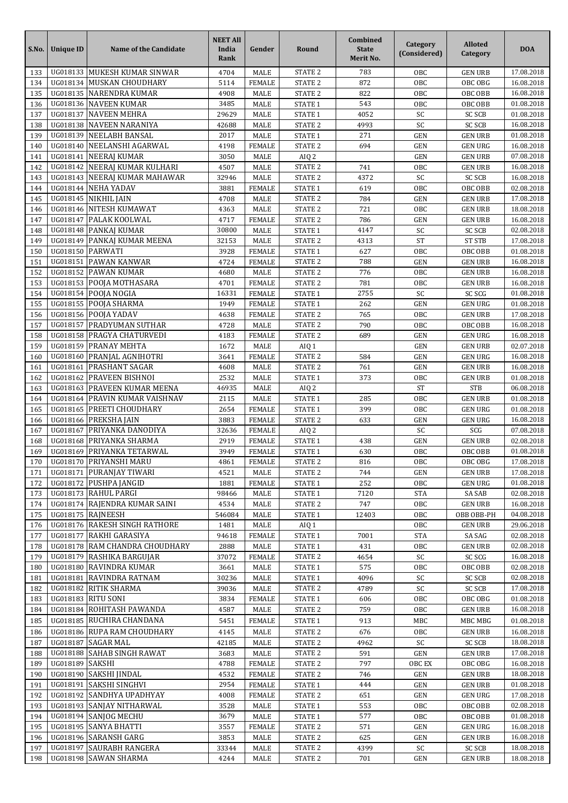| S.No.      | <b>Unique ID</b>     | Name of the Candidate                                  | <b>NEET All</b><br>India<br>Rank | Gender                         | Round                                    | Combined<br><b>State</b><br>Merit No. | Category<br>(Considered) | <b>Alloted</b><br>Category       | <b>DOA</b>               |
|------------|----------------------|--------------------------------------------------------|----------------------------------|--------------------------------|------------------------------------------|---------------------------------------|--------------------------|----------------------------------|--------------------------|
| 133        | UG018133             | MUKESH KUMAR SINWAR                                    | 4704                             | <b>MALE</b>                    | <b>STATE 2</b>                           | 783                                   | OBC                      | <b>GEN URB</b>                   | 17.08.2018               |
| 134        | UG018134             | MUSKAN CHOUDHARY                                       | 5114                             | <b>FEMALE</b>                  | STATE <sub>2</sub>                       | 872                                   | OBC                      | OBC OBG                          | 16.08.2018               |
| 135        | UG018135             | <b>NARENDRA KUMAR</b>                                  | 4908                             | MALE                           | STATE <sub>2</sub>                       | 822                                   | OBC                      | OBC OBB                          | 16.08.2018               |
| 136        | UG018136             | <b>NAVEEN KUMAR</b>                                    | 3485                             | MALE                           | STATE 1                                  | 543                                   | OBC                      | OBC OBB                          | 01.08.2018               |
| 137<br>138 | UG018137<br>UG018138 | <b>NAVEEN MEHRA</b><br>NAVEEN NARANIYA                 | 29629<br>42688                   | MALE<br>MALE                   | STATE 1<br>STATE <sub>2</sub>            | 4052<br>4993                          | SC<br>SC                 | <b>SC SCB</b><br><b>SC SCB</b>   | 01.08.2018<br>16.08.2018 |
| 139        | UG018139             | NEELABH BANSAL                                         | 2017                             | <b>MALE</b>                    | STATE 1                                  | 271                                   | <b>GEN</b>               | <b>GEN URB</b>                   | 01.08.2018               |
| 140        | UG018140             | NEELANSHI AGARWAL                                      | 4198                             | <b>FEMALE</b>                  | <b>STATE 2</b>                           | 694                                   | <b>GEN</b>               | <b>GEN URG</b>                   | 16.08.2018               |
| 141        | UG018141             | <b>NEERAJ KUMAR</b>                                    | 3050                             | MALE                           | AIQ <sub>2</sub>                         |                                       | GEN                      | <b>GEN URB</b>                   | 07.08.2018               |
| 142        | UG018142             | NEERAJ KUMAR KULHARI                                   | 4507                             | MALE                           | STATE <sub>2</sub>                       | 741                                   | OBC                      | <b>GEN URB</b>                   | 16.08.2018               |
| 143        |                      | UG018143 NEERAJ KUMAR MAHAWAR                          | 32946                            | <b>MALE</b>                    | <b>STATE 2</b>                           | 4372                                  | SC                       | <b>SC SCB</b>                    | 16.08.2018               |
| 144        |                      | UG018144 NEHA YADAV                                    | 3881                             | <b>FEMALE</b>                  | <b>STATE 1</b>                           | 619                                   | OBC                      | OBC OBB                          | 02.08.2018               |
| 145        | UG018145             | NIKHIL JAIN                                            | 4708                             | MALE                           | STATE <sub>2</sub>                       | 784                                   | <b>GEN</b>               | <b>GEN URB</b>                   | 17.08.2018               |
| 146<br>147 | UG018146<br>UG018147 | NITESH KUMAWAT<br>PALAK KOOLWAL                        | 4363<br>4717                     | <b>MALE</b><br><b>FEMALE</b>   | STATE <sub>2</sub><br>STATE <sub>2</sub> | 721<br>786                            | OBC<br><b>GEN</b>        | <b>GEN URB</b><br><b>GEN URB</b> | 18.08.2018<br>16.08.2018 |
| 148        | UG018148             | PANKAJ KUMAR                                           | 30800                            | MALE                           | STATE 1                                  | 4147                                  | SC                       | <b>SC SCB</b>                    | 02.08.2018               |
| 149        | UG018149             | PANKAJ KUMAR MEENA                                     | 32153                            | <b>MALE</b>                    | <b>STATE 2</b>                           | 4313                                  | <b>ST</b>                | <b>ST STB</b>                    | 17.08.2018               |
| 150        | UG018150             | <b>PARWATI</b>                                         | 3928                             | <b>FEMALE</b>                  | STATE 1                                  | 627                                   | OBC                      | OBC OBB                          | 01.08.2018               |
| 151        | UG018151             | <b>PAWAN KANWAR</b>                                    | 4724                             | <b>FEMALE</b>                  | <b>STATE 2</b>                           | 788                                   | <b>GEN</b>               | <b>GEN URB</b>                   | 16.08.2018               |
| 152        | UG018152             | <b>PAWAN KUMAR</b>                                     | 4680                             | <b>MALE</b>                    | STATE <sub>2</sub>                       | 776                                   | OBC                      | <b>GEN URB</b>                   | 16.08.2018               |
| 153        | UG018153             | POOJA MOTHASARA                                        | 4701                             | <b>FEMALE</b>                  | <b>STATE 2</b>                           | 781                                   | OBC                      | <b>GEN URB</b>                   | 16.08.2018               |
| 154        | UG018154             | POOJA NOGIA                                            | 16331                            | <b>FEMALE</b>                  | STATE 1                                  | 2755                                  | SC                       | SC SCG                           | 01.08.2018               |
| 155<br>156 | UG018155             | POOJA SHARMA<br>UG018156 POOJA YADAV                   | 1949<br>4638                     | <b>FEMALE</b><br><b>FEMALE</b> | STATE 1<br><b>STATE 2</b>                | 262<br>765                            | <b>GEN</b><br>OBC        | <b>GEN URG</b><br><b>GEN URB</b> | 01.08.2018<br>17.08.2018 |
| 157        | UG018157             | PRADYUMAN SUTHAR                                       | 4728                             | MALE                           | STATE <sub>2</sub>                       | 790                                   | OBC                      | OBC OBB                          | 16.08.2018               |
| 158        | UG018158             | PRAGYA CHATURVEDI                                      | 4183                             | <b>FEMALE</b>                  | STATE <sub>2</sub>                       | 689                                   | <b>GEN</b>               | <b>GEN URG</b>                   | 16.08.2018               |
| 159        | UG018159             | PRANAY MEHTA                                           | 1672                             | MALE                           | AIQ 1                                    |                                       | <b>GEN</b>               | <b>GEN URB</b>                   | 02.07.2018               |
| 160        | UG018160             | PRANJAL AGNIHOTRI                                      | 3641                             | <b>FEMALE</b>                  | <b>STATE 2</b>                           | 584                                   | <b>GEN</b>               | <b>GEN URG</b>                   | 16.08.2018               |
| 161        | UG018161             | <b>PRASHANT SAGAR</b>                                  | 4608                             | MALE                           | STATE <sub>2</sub>                       | 761                                   | <b>GEN</b>               | <b>GEN URB</b>                   | 16.08.2018               |
| 162        | UG018162             | PRAVEEN BISHNOI                                        | 2532                             | <b>MALE</b>                    | STATE 1                                  | 373                                   | OBC                      | <b>GEN URB</b>                   | 01.08.2018               |
| 163        | UG018163             | PRAVEEN KUMAR MEENA                                    | 46935                            | MALE                           | AIQ <sub>2</sub>                         |                                       | <b>ST</b>                | <b>STB</b>                       | 06.08.2018               |
| 164<br>165 | UG018164<br>UG018165 | PRAVIN KUMAR VAISHNAV<br>PREETI CHOUDHARY              | 2115<br>2654                     | <b>MALE</b><br><b>FEMALE</b>   | <b>STATE 1</b><br>STATE 1                | 285<br>399                            | OBC<br>OBC               | <b>GEN URB</b><br><b>GEN URG</b> | 01.08.2018<br>01.08.2018 |
| 166        | UG018166             | PREKSHA JAIN                                           | 3883                             | <b>FEMALE</b>                  | <b>STATE 2</b>                           | 633                                   | GEN                      | <b>GEN URG</b>                   | 16.08.2018               |
| 167        | UG018167             | PRIYANKA DANODIYA                                      | 32636                            | <b>FEMALE</b>                  | AIQ <sub>2</sub>                         |                                       | SC                       | SCG                              | 07.08.2018               |
| 168        | UG018168             | PRIYANKA SHARMA                                        | 2919                             | <b>FEMALE</b>                  | STATE 1                                  | 438                                   | <b>GEN</b>               | <b>GEN URB</b>                   | 02.08.2018               |
| 169        | UG018169             | PRIYANKA TETARWAL                                      | 3949                             | <b>FEMALE</b>                  | <b>STATE 1</b>                           | 630                                   | OBC                      | OBC OBB                          | 01.08.2018               |
| 170        |                      | UG018170 PRIYANSHI MARU                                | 4861                             | <b>FEMALE</b>                  | STATE <sub>2</sub>                       | 816                                   | OBC                      | OBC OBG                          | 17.08.2018               |
| 171        | UG018171             | PURANJAY TIWARI                                        | 4521                             | MALE                           | STATE <sub>2</sub>                       | 744                                   | <b>GEN</b>               | <b>GEN URB</b>                   | 17.08.2018               |
| 172        |                      | UG018172 PUSHPA JANGID                                 | 1881                             | <b>FEMALE</b>                  | STATE 1                                  | 252                                   | OBC                      | GEN URG                          | 01.08.2018               |
| 173<br>174 |                      | UG018173 RAHUL PARGI<br>UG018174 RAJENDRA KUMAR SAINI  | 98466<br>4534                    | MALE<br>MALE                   | <b>STATE 1</b><br>STATE <sub>2</sub>     | 7120<br>747                           | <b>STA</b><br>OBC        | SA SAB<br><b>GEN URB</b>         | 02.08.2018<br>16.08.2018 |
| 175        |                      | UG018175 RAJNEESH                                      | 546084                           | MALE                           | STATE <sub>1</sub>                       | 12403                                 | OBC                      | OBB OBB-PH                       | 04.08.2018               |
| 176        |                      | UG018176 RAKESH SINGH RATHORE                          | 1481                             | MALE                           | AIQ 1                                    |                                       | OBC                      | <b>GEN URB</b>                   | 29.06.2018               |
| 177        | UG018177             | RAKHI GARASIYA                                         | 94618                            | <b>FEMALE</b>                  | STATE 1                                  | 7001                                  | <b>STA</b>               | SA SAG                           | 02.08.2018               |
| 178        |                      | UG018178 RAM CHANDRA CHOUDHARY                         | 2888                             | MALE                           | STATE 1                                  | 431                                   | OBC                      | <b>GEN URB</b>                   | 02.08.2018               |
| 179        |                      | UG018179 RASHIKA BARGUJAR                              | 37072                            | <b>FEMALE</b>                  | STATE 2                                  | 4654                                  | SC                       | SC SCG                           | 16.08.2018               |
| 180        |                      | UG018180 RAVINDRA KUMAR                                | 3661                             | MALE                           | <b>STATE 1</b>                           | 575                                   | OBC                      | OBC OBB                          | 02.08.2018               |
| 181        |                      | UG018181 RAVINDRA RATNAM                               | 30236                            | MALE                           | STATE 1                                  | 4096                                  | SC                       | <b>SC SCB</b>                    | 02.08.2018               |
| 182<br>183 |                      | UG018182 RITIK SHARMA<br>UG018183 RITU SONI            | 39036<br>3834                    | MALE<br><b>FEMALE</b>          | STATE <sub>2</sub><br>STATE 1            | 4789<br>606                           | SC<br>OBC                | <b>SC SCB</b><br>OBC OBG         | 17.08.2018<br>01.08.2018 |
| 184        |                      | UG018184 ROHITASH PAWANDA                              | 4587                             | MALE                           | STATE <sub>2</sub>                       | 759                                   | OBC                      | <b>GEN URB</b>                   | 16.08.2018               |
| 185        |                      | UG018185 RUCHIRA CHANDANA                              | 5451                             | <b>FEMALE</b>                  | STATE 1                                  | 913                                   | MBC                      | MBC MBG                          | 01.08.2018               |
| 186        |                      | UG018186 RUPA RAM CHOUDHARY                            | 4145                             | MALE                           | STATE <sub>2</sub>                       | 676                                   | OBC                      | <b>GEN URB</b>                   | 16.08.2018               |
| 187        |                      | UG018187 SAGAR MAL                                     | 42185                            | MALE                           | STATE <sub>2</sub>                       | 4962                                  | SC                       | <b>SC SCB</b>                    | 18.08.2018               |
| 188        |                      | UG018188 SAHAB SINGH RAWAT                             | 3683                             | MALE                           | STATE <sub>2</sub>                       | 591                                   | <b>GEN</b>               | <b>GEN URB</b>                   | 17.08.2018               |
| 189        | UG018189 SAKSHI      |                                                        | 4788                             | <b>FEMALE</b>                  | STATE <sub>2</sub>                       | 797                                   | OBC EX                   | OBC OBG                          | 16.08.2018               |
| 190        |                      | UG018190 SAKSHI JINDAL                                 | 4532                             | <b>FEMALE</b>                  | STATE <sub>2</sub>                       | 746                                   | <b>GEN</b>               | <b>GEN URB</b>                   | 18.08.2018               |
| 191        | UG018191             | <b>SAKSHI SINGHVI</b>                                  | 2954                             | <b>FEMALE</b>                  | STATE 1                                  | 444                                   | <b>GEN</b>               | <b>GEN URB</b>                   | 01.08.2018               |
| 192        |                      | UG018192 SANDHYA UPADHYAY<br>UG018193 SANJAY NITHARWAL | 4008<br>3528                     | <b>FEMALE</b>                  | STATE <sub>2</sub>                       | 651<br>553                            | <b>GEN</b>               | <b>GEN URG</b>                   | 17.08.2018<br>02.08.2018 |
| 193<br>194 |                      | UG018194 SANJOG MECHU                                  | 3679                             | MALE<br>MALE                   | STATE 1<br>STATE 1                       | 577                                   | OBC<br>OBC               | OBC OBB<br>OBC OBB               | 01.08.2018               |
| 195        |                      | UG018195 SANYA BHATTI                                  | 3557                             | <b>FEMALE</b>                  | STATE <sub>2</sub>                       | 571                                   | <b>GEN</b>               | <b>GEN URG</b>                   | 16.08.2018               |
| 196        |                      | UG018196 SARANSH GARG                                  | 3853                             | MALE                           | STATE <sub>2</sub>                       | 625                                   | <b>GEN</b>               | <b>GEN URB</b>                   | 16.08.2018               |
| 197        | UG018197             | SAURABH RANGERA                                        | 33344                            | MALE                           | STATE <sub>2</sub>                       | 4399                                  | SC                       | <b>SC SCB</b>                    | 18.08.2018               |
| 198        |                      | UG018198 SAWAN SHARMA                                  | 4244                             | MALE                           | STATE <sub>2</sub>                       | 701                                   | GEN                      | <b>GEN URB</b>                   | 18.08.2018               |